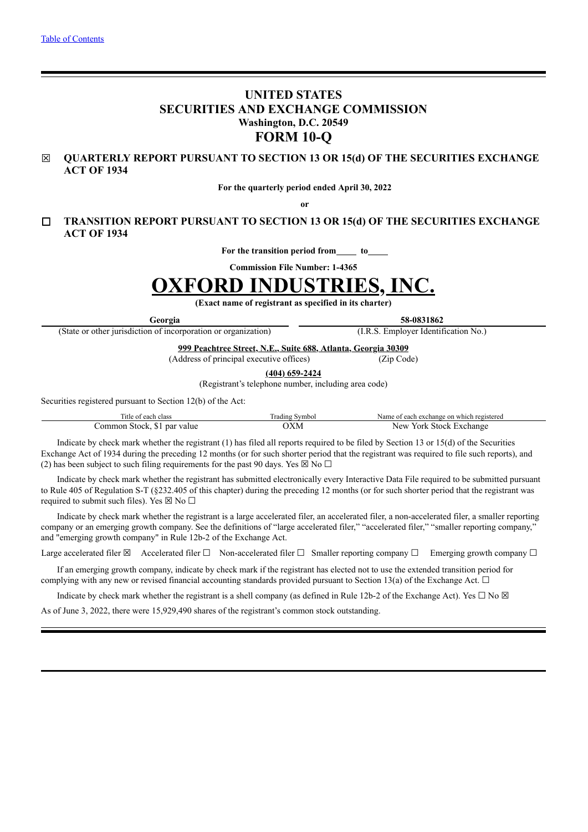# **UNITED STATES SECURITIES AND EXCHANGE COMMISSION Washington, D.C. 20549 FORM 10-Q**

# ☒ **QUARTERLY REPORT PURSUANT TO SECTION 13 OR 15(d) OF THE SECURITIES EXCHANGE ACT OF 1934**

**For the quarterly period ended April 30, 2022**

**or**

# ☐ **TRANSITION REPORT PURSUANT TO SECTION 13 OR 15(d) OF THE SECURITIES EXCHANGE ACT OF 1934**

**For the transition period from to**

**Commission File Number: 1-4365**

# **OXFORD INDUSTRIES, INC.**

**(Exact name of registrant as specified in its charter)**

**Georgia 58-0831862**

(State or other jurisdiction of incorporation or organization) (I.R.S. Employer Identification No.)

**999 Peachtree Street, N.E., Suite 688, Atlanta, Georgia 30309**

(Address of principal executive offices) (Zip Code)

**(404) 659-2424**

(Registrant's telephone number, including area code)

Securities registered pursuant to Section 12(b) of the Act:

| Fitle of each class         | l'radıng Svmbol | Name of each exchange on which registered |
|-----------------------------|-----------------|-------------------------------------------|
| Common Stock, \$1 par value | )XМ             | New York Stock Exchange                   |

Indicate by check mark whether the registrant (1) has filed all reports required to be filed by Section 13 or 15(d) of the Securities Exchange Act of 1934 during the preceding 12 months (or for such shorter period that the registrant was required to file such reports), and (2) has been subject to such filing requirements for the past 90 days. Yes  $\boxtimes$  No  $\Box$ 

Indicate by check mark whether the registrant has submitted electronically every Interactive Data File required to be submitted pursuant to Rule 405 of Regulation S-T (§232.405 of this chapter) during the preceding 12 months (or for such shorter period that the registrant was required to submit such files). Yes  $\boxtimes$  No  $\Box$ 

Indicate by check mark whether the registrant is a large accelerated filer, an accelerated filer, a non-accelerated filer, a smaller reporting company or an emerging growth company. See the definitions of "large accelerated filer," "accelerated filer," "smaller reporting company," and "emerging growth company" in Rule 12b-2 of the Exchange Act.

Large accelerated filer  $\boxtimes$  Accelerated filer  $\Box$  Non-accelerated filer  $\Box$  Smaller reporting company  $\Box$  Emerging growth company  $\Box$ 

If an emerging growth company, indicate by check mark if the registrant has elected not to use the extended transition period for complying with any new or revised financial accounting standards provided pursuant to Section 13(a) of the Exchange Act.  $\Box$ 

Indicate by check mark whether the registrant is a shell company (as defined in Rule 12b-2 of the Exchange Act). Yes  $\Box$  No  $\boxtimes$ 

As of June 3, 2022, there were 15,929,490 shares of the registrant's common stock outstanding.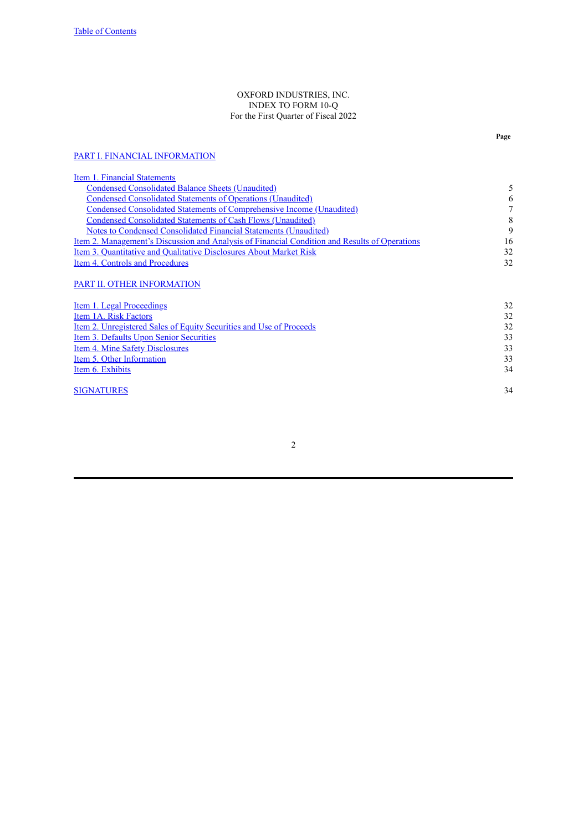# OXFORD INDUSTRIES, INC. INDEX TO FORM 10-Q For the First Quarter of Fiscal 2022

**Page**

# <span id="page-1-0"></span>PART I. FINANCIAL [INFORMATION](#page-4-0)

| Item 1. Financial Statements                                                                         |        |
|------------------------------------------------------------------------------------------------------|--------|
| <b>Condensed Consolidated Balance Sheets (Unaudited)</b>                                             | 5      |
| Condensed Consolidated Statements of Operations (Unaudited)                                          | 6      |
| Condensed Consolidated Statements of Comprehensive Income (Unaudited)                                | $\tau$ |
| <b>Condensed Consolidated Statements of Cash Flows (Unaudited)</b>                                   | 8      |
| <b>Notes to Condensed Consolidated Financial Statements (Unaudited)</b>                              | 9      |
| <u>Item 2. Management's Discussion and Analysis of Financial Condition and Results of Operations</u> | 16     |
| <b>Item 3. Quantitative and Qualitative Disclosures About Market Risk</b>                            | 32     |
| Item 4. Controls and Procedures                                                                      | 32     |
| PART II. OTHER INFORMATION                                                                           |        |
| <u>Item 1. Legal Proceedings</u>                                                                     | 32     |
| Item 1A. Risk Factors                                                                                | 32     |
| Item 2. Unregistered Sales of Equity Securities and Use of Proceeds                                  | 32     |
| <b>Item 3. Defaults Upon Senior Securities</b>                                                       | 33     |
| Item 4. Mine Safety Disclosures                                                                      | 33     |
| Item 5. Other Information                                                                            | 33     |
| Item 6. Exhibits                                                                                     | 34     |
|                                                                                                      |        |
| <b>SIGNATURES</b>                                                                                    | 34     |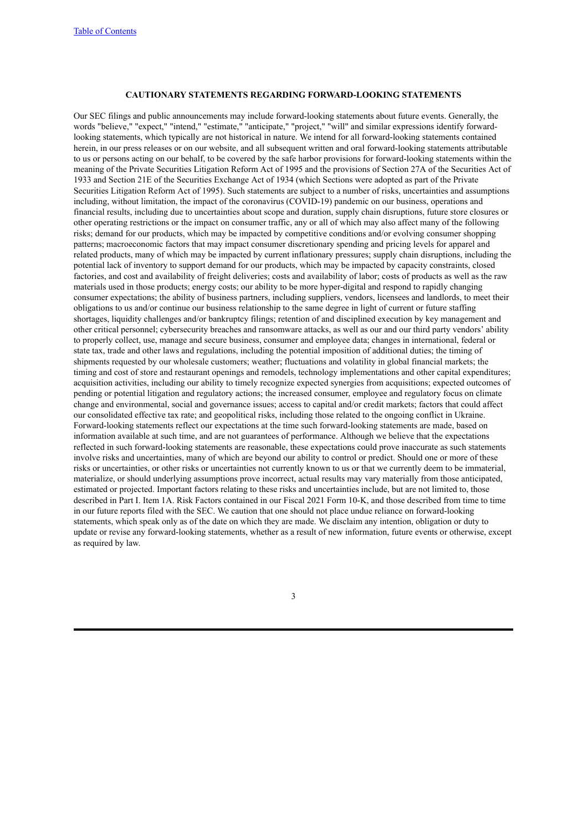# **CAUTIONARY STATEMENTS REGARDING FORWARD-LOOKING STATEMENTS**

Our SEC filings and public announcements may include forward-looking statements about future events. Generally, the words "believe," "expect," "intend," "estimate," "anticipate," "project," "will" and similar expressions identify forwardlooking statements, which typically are not historical in nature. We intend for all forward-looking statements contained herein, in our press releases or on our website, and all subsequent written and oral forward-looking statements attributable to us or persons acting on our behalf, to be covered by the safe harbor provisions for forward-looking statements within the meaning of the Private Securities Litigation Reform Act of 1995 and the provisions of Section 27A of the Securities Act of 1933 and Section 21E of the Securities Exchange Act of 1934 (which Sections were adopted as part of the Private Securities Litigation Reform Act of 1995). Such statements are subject to a number of risks, uncertainties and assumptions including, without limitation, the impact of the coronavirus (COVID-19) pandemic on our business, operations and financial results, including due to uncertainties about scope and duration, supply chain disruptions, future store closures or other operating restrictions or the impact on consumer traffic, any or all of which may also affect many of the following risks; demand for our products, which may be impacted by competitive conditions and/or evolving consumer shopping patterns; macroeconomic factors that may impact consumer discretionary spending and pricing levels for apparel and related products, many of which may be impacted by current inflationary pressures; supply chain disruptions, including the potential lack of inventory to support demand for our products, which may be impacted by capacity constraints, closed factories, and cost and availability of freight deliveries; costs and availability of labor; costs of products as well as the raw materials used in those products; energy costs; our ability to be more hyper-digital and respond to rapidly changing consumer expectations; the ability of business partners, including suppliers, vendors, licensees and landlords, to meet their obligations to us and/or continue our business relationship to the same degree in light of current or future staffing shortages, liquidity challenges and/or bankruptcy filings; retention of and disciplined execution by key management and other critical personnel; cybersecurity breaches and ransomware attacks, as well as our and our third party vendors' ability to properly collect, use, manage and secure business, consumer and employee data; changes in international, federal or state tax, trade and other laws and regulations, including the potential imposition of additional duties; the timing of shipments requested by our wholesale customers; weather; fluctuations and volatility in global financial markets; the timing and cost of store and restaurant openings and remodels, technology implementations and other capital expenditures; acquisition activities, including our ability to timely recognize expected synergies from acquisitions; expected outcomes of pending or potential litigation and regulatory actions; the increased consumer, employee and regulatory focus on climate change and environmental, social and governance issues; access to capital and/or credit markets; factors that could affect our consolidated effective tax rate; and geopolitical risks, including those related to the ongoing conflict in Ukraine. Forward-looking statements reflect our expectations at the time such forward-looking statements are made, based on information available at such time, and are not guarantees of performance. Although we believe that the expectations reflected in such forward-looking statements are reasonable, these expectations could prove inaccurate as such statements involve risks and uncertainties, many of which are beyond our ability to control or predict. Should one or more of these risks or uncertainties, or other risks or uncertainties not currently known to us or that we currently deem to be immaterial, materialize, or should underlying assumptions prove incorrect, actual results may vary materially from those anticipated, estimated or projected. Important factors relating to these risks and uncertainties include, but are not limited to, those described in Part I. Item 1A. Risk Factors contained in our Fiscal 2021 Form 10-K, and those described from time to time in our future reports filed with the SEC. We caution that one should not place undue reliance on forward-looking statements, which speak only as of the date on which they are made. We disclaim any intention, obligation or duty to update or revise any forward-looking statements, whether as a result of new information, future events or otherwise, except as required by law.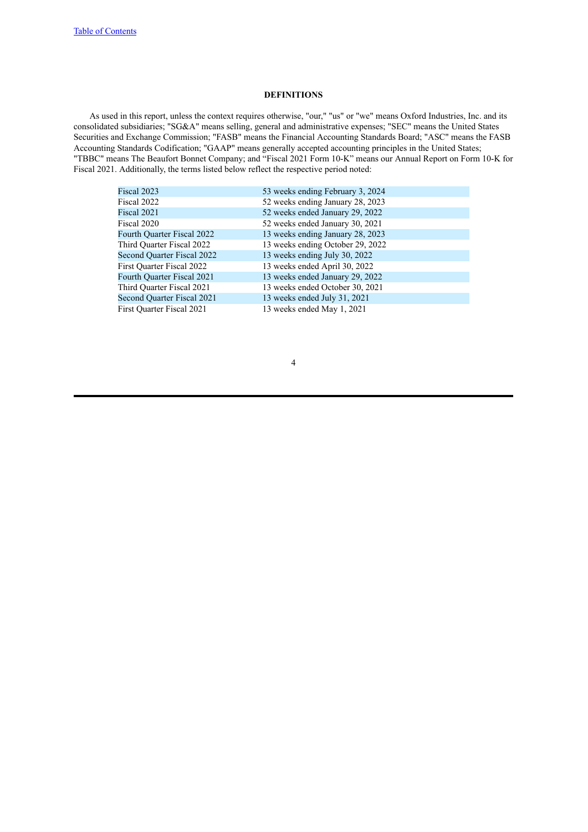# **DEFINITIONS**

As used in this report, unless the context requires otherwise, "our," "us" or "we" means Oxford Industries, Inc. and its consolidated subsidiaries; "SG&A" means selling, general and administrative expenses; "SEC" means the United States Securities and Exchange Commission; "FASB" means the Financial Accounting Standards Board; "ASC" means the FASB Accounting Standards Codification; "GAAP" means generally accepted accounting principles in the United States; "TBBC" means The Beaufort Bonnet Company; and "Fiscal 2021 Form 10-K" means our Annual Report on Form 10-K for Fiscal 2021. Additionally, the terms listed below reflect the respective period noted:

| Fiscal 2023                | 53 weeks ending February 3, 2024 |
|----------------------------|----------------------------------|
| Fiscal 2022                | 52 weeks ending January 28, 2023 |
| Fiscal 2021                | 52 weeks ended January 29, 2022  |
| Fiscal 2020                | 52 weeks ended January 30, 2021  |
| Fourth Ouarter Fiscal 2022 | 13 weeks ending January 28, 2023 |
| Third Ouarter Fiscal 2022  | 13 weeks ending October 29, 2022 |
| Second Ouarter Fiscal 2022 | 13 weeks ending July 30, 2022    |
| First Ouarter Fiscal 2022  | 13 weeks ended April 30, 2022    |
| Fourth Quarter Fiscal 2021 | 13 weeks ended January 29, 2022  |
| Third Ouarter Fiscal 2021  | 13 weeks ended October 30, 2021  |
| Second Quarter Fiscal 2021 | 13 weeks ended July 31, 2021     |
| First Ouarter Fiscal 2021  | 13 weeks ended May 1, 2021       |
|                            |                                  |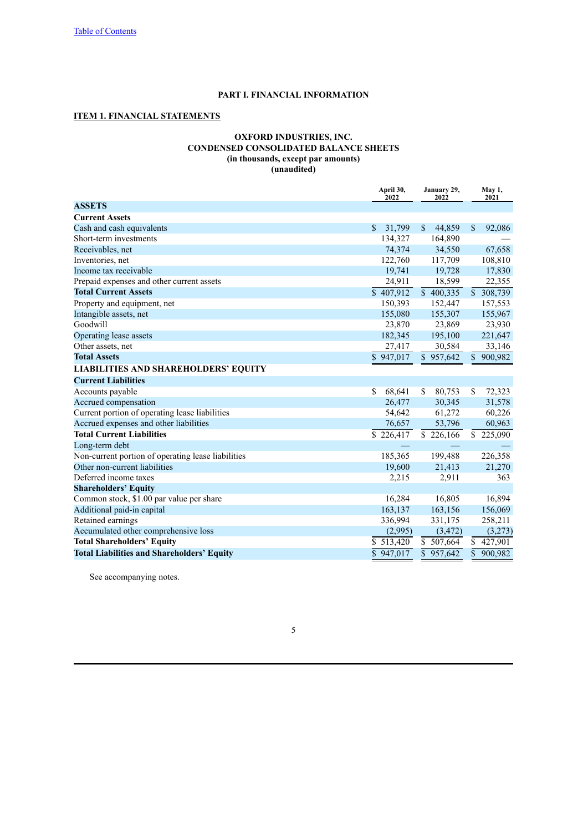# **PART I. FINANCIAL INFORMATION**

# <span id="page-4-2"></span><span id="page-4-1"></span><span id="page-4-0"></span>**ITEM 1. FINANCIAL STATEMENTS**

# **OXFORD INDUSTRIES, INC. CONDENSED CONSOLIDATED BALANCE SHEETS (in thousands, except par amounts) (unaudited)**

|                                                    | April 30,<br>2022     | January 29,<br>2022     | May 1,<br>2021         |
|----------------------------------------------------|-----------------------|-------------------------|------------------------|
| <b>ASSETS</b>                                      |                       |                         |                        |
| <b>Current Assets</b>                              |                       |                         |                        |
| Cash and cash equivalents                          | $\mathbf S$<br>31,799 | $\mathbf S$<br>44,859   | $\mathbf{s}$<br>92,086 |
| Short-term investments                             | 134,327               | 164,890                 |                        |
| Receivables, net                                   | 74,374                | 34,550                  | 67,658                 |
| Inventories, net                                   | 122,760               | 117,709                 | 108,810                |
| Income tax receivable                              | 19,741                | 19,728                  | 17,830                 |
| Prepaid expenses and other current assets          | 24,911                | 18,599                  | 22,355                 |
| <b>Total Current Assets</b>                        | \$407,912             | \$400,335               | \$308,739              |
| Property and equipment, net                        | 150,393               | 152,447                 | 157,553                |
| Intangible assets, net                             | 155,080               | 155,307                 | 155,967                |
| Goodwill                                           | 23,870                | 23,869                  | 23,930                 |
| Operating lease assets                             | 182,345               | 195,100                 | 221,647                |
| Other assets, net                                  | 27,417                | 30,584                  | 33,146                 |
| <b>Total Assets</b>                                | \$947,017             | \$957,642               | 900,982<br>\$          |
| <b>LIABILITIES AND SHAREHOLDERS' EQUITY</b>        |                       |                         |                        |
| <b>Current Liabilities</b>                         |                       |                         |                        |
| Accounts payable                                   | \$<br>68,641          | <sup>\$</sup><br>80,753 | \$<br>72,323           |
| Accrued compensation                               | 26,477                | 30,345                  | 31,578                 |
| Current portion of operating lease liabilities     | 54,642                | 61,272                  | 60,226                 |
| Accrued expenses and other liabilities             | 76,657                | 53,796                  | 60,963                 |
| <b>Total Current Liabilities</b>                   | \$226,417             | \$226,166               | \$225,090              |
| Long-term debt                                     |                       |                         |                        |
| Non-current portion of operating lease liabilities | 185,365               | 199,488                 | 226,358                |
| Other non-current liabilities                      | 19,600                | 21,413                  | 21,270                 |
| Deferred income taxes                              | 2,215                 | 2,911                   | 363                    |
| <b>Shareholders' Equity</b>                        |                       |                         |                        |
| Common stock, \$1.00 par value per share           | 16,284                | 16,805                  | 16,894                 |
| Additional paid-in capital                         | 163,137               | 163,156                 | 156,069                |
| Retained earnings                                  | 336,994               | 331,175                 | 258,211                |
| Accumulated other comprehensive loss               | (2,995)               | (3, 472)                | (3,273)                |
| <b>Total Shareholders' Equity</b>                  | \$513,420             | \$507,664               | \$427,901              |
| <b>Total Liabilities and Shareholders' Equity</b>  | $\overline{947,017}$  | \$<br>957,642           | \$<br>900,982          |

See accompanying notes.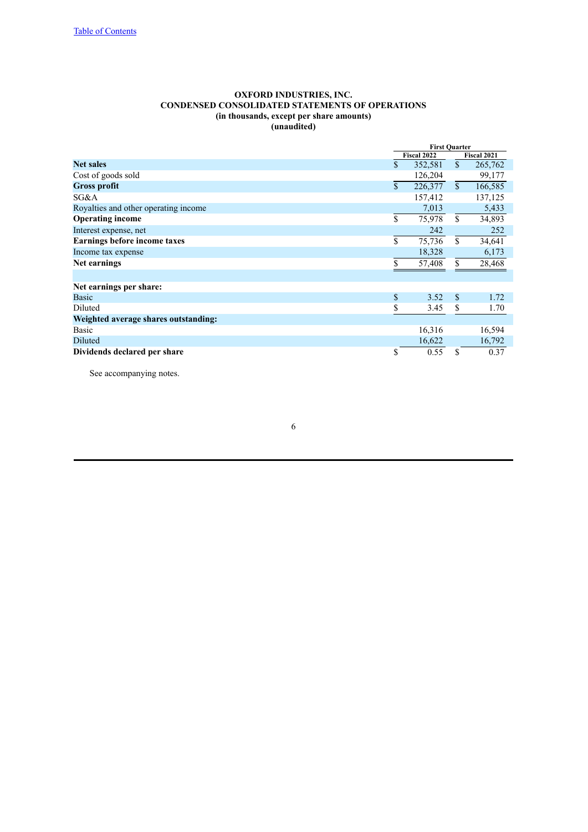# **OXFORD INDUSTRIES, INC. CONDENSED CONSOLIDATED STATEMENTS OF OPERATIONS (in thousands, except per share amounts) (unaudited)**

<span id="page-5-0"></span>

|                                      |             | <b>First Quarter</b> |              |             |  |
|--------------------------------------|-------------|----------------------|--------------|-------------|--|
|                                      |             | Fiscal 2022          |              | Fiscal 2021 |  |
| <b>Net sales</b>                     | \$          | 352,581              | $\mathbb{S}$ | 265,762     |  |
| Cost of goods sold                   |             | 126,204              |              | 99,177      |  |
| <b>Gross profit</b>                  | $\mathbf S$ | 226,377              | $\mathbb{S}$ | 166,585     |  |
| SG&A                                 |             | 157,412              |              | 137,125     |  |
| Royalties and other operating income |             | 7,013                |              | 5,433       |  |
| <b>Operating income</b>              | \$          | 75,978               | S.           | 34,893      |  |
| Interest expense, net                |             | 242                  |              | 252         |  |
| <b>Earnings before income taxes</b>  | \$          | 75,736               | S.           | 34,641      |  |
| Income tax expense                   |             | 18,328               |              | 6,173       |  |
| Net earnings                         | \$          | 57,408               | \$           | 28,468      |  |
|                                      |             |                      |              |             |  |
| Net earnings per share:              |             |                      |              |             |  |
| <b>Basic</b>                         | \$          | 3.52                 | $\mathbf{s}$ | 1.72        |  |
| Diluted                              | \$          | 3.45                 | \$           | 1.70        |  |
| Weighted average shares outstanding: |             |                      |              |             |  |
| Basic                                |             | 16,316               |              | 16,594      |  |
| <b>Diluted</b>                       |             | 16,622               |              | 16,792      |  |
| Dividends declared per share         | \$          | 0.55                 | S            | 0.37        |  |

See accompanying notes.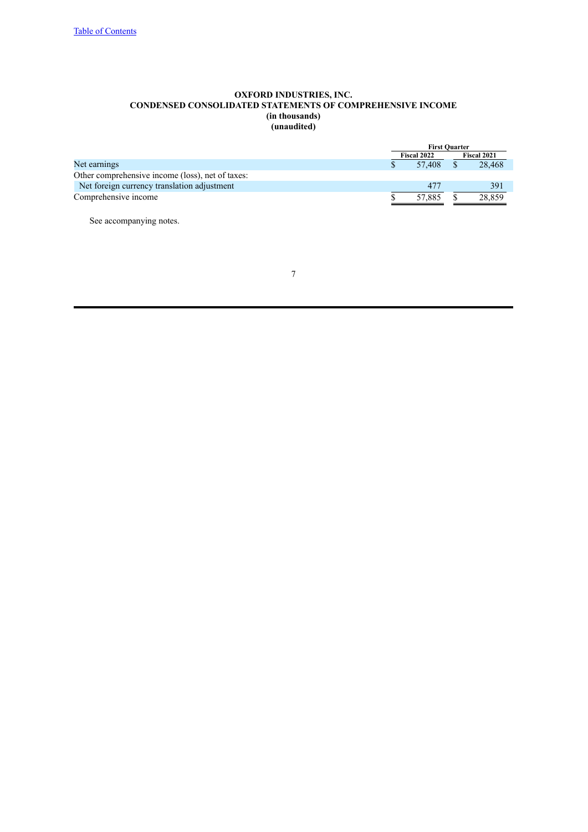# **OXFORD INDUSTRIES, INC. CONDENSED CONSOLIDATED STATEMENTS OF COMPREHENSIVE INCOME (in thousands) (unaudited)**

<span id="page-6-0"></span>

|                                                  | <b>First Quarter</b> |  |             |  |
|--------------------------------------------------|----------------------|--|-------------|--|
|                                                  | <b>Fiscal 2022</b>   |  | Fiscal 2021 |  |
| Net earnings                                     | 57.408               |  | 28,468      |  |
| Other comprehensive income (loss), net of taxes: |                      |  |             |  |
| Net foreign currency translation adjustment      | 477                  |  | 391         |  |
| Comprehensive income                             | 57.885               |  | 28,859      |  |
|                                                  |                      |  |             |  |

See accompanying notes.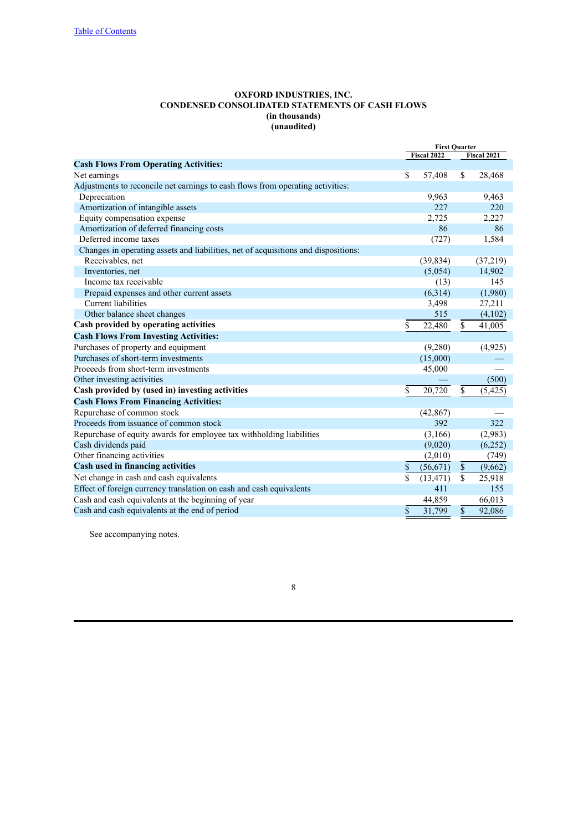# **OXFORD INDUSTRIES, INC. CONDENSED CONSOLIDATED STATEMENTS OF CASH FLOWS (in thousands) (unaudited)**

<span id="page-7-0"></span>

| Fiscal 2022<br>Fiscal 2021<br><b>Cash Flows From Operating Activities:</b><br>Net earnings<br>\$<br>57,408<br>\$<br>28,468<br>Adjustments to reconcile net earnings to cash flows from operating activities:<br>Depreciation<br>9,963<br>9,463<br>Amortization of intangible assets<br>220<br>227<br>Equity compensation expense<br>2,725<br>2,227<br>Amortization of deferred financing costs<br>86<br>86<br>Deferred income taxes<br>1,584<br>(727)<br>Changes in operating assets and liabilities, net of acquisitions and dispositions:<br>(39, 834)<br>(37,219)<br>Receivables, net<br>(5,054)<br>Inventories, net<br>14,902<br>Income tax receivable<br>(13)<br>145<br>(6,314)<br>(1,980)<br>Prepaid expenses and other current assets<br>Current liabilities<br>3,498<br>27,211<br>Other balance sheet changes<br>515<br>(4,102)<br>\$<br>\$<br>22,480<br>41,005<br>(9,280)<br>(4,925)<br>(15,000)<br>45,000<br>(500)<br>\$<br>$\overline{\mathbb{S}}$<br>20,720<br>(5, 425)<br>(42, 867)<br>322<br>392<br>Repurchase of equity awards for employee tax withholding liabilities<br>(2,983)<br>(3,166)<br>(9,020)<br>(6,252)<br>(2,010)<br>(749)<br>Cash used in financing activities<br>$\overline{\$}$<br>\$<br>(9,662)<br>(56, 671)<br>Net change in cash and cash equivalents<br>\$<br>$\overline{\mathbb{S}}$<br>(13, 471)<br>25,918<br>Effect of foreign currency translation on cash and cash equivalents<br>155<br>411<br>Cash and cash equivalents at the beginning of year<br>44,859<br>66,013 |                                                 | <b>First Quarter</b> |                     |                         |        |
|----------------------------------------------------------------------------------------------------------------------------------------------------------------------------------------------------------------------------------------------------------------------------------------------------------------------------------------------------------------------------------------------------------------------------------------------------------------------------------------------------------------------------------------------------------------------------------------------------------------------------------------------------------------------------------------------------------------------------------------------------------------------------------------------------------------------------------------------------------------------------------------------------------------------------------------------------------------------------------------------------------------------------------------------------------------------------------------------------------------------------------------------------------------------------------------------------------------------------------------------------------------------------------------------------------------------------------------------------------------------------------------------------------------------------------------------------------------------------------------------------------------|-------------------------------------------------|----------------------|---------------------|-------------------------|--------|
|                                                                                                                                                                                                                                                                                                                                                                                                                                                                                                                                                                                                                                                                                                                                                                                                                                                                                                                                                                                                                                                                                                                                                                                                                                                                                                                                                                                                                                                                                                                |                                                 |                      |                     |                         |        |
|                                                                                                                                                                                                                                                                                                                                                                                                                                                                                                                                                                                                                                                                                                                                                                                                                                                                                                                                                                                                                                                                                                                                                                                                                                                                                                                                                                                                                                                                                                                |                                                 |                      |                     |                         |        |
|                                                                                                                                                                                                                                                                                                                                                                                                                                                                                                                                                                                                                                                                                                                                                                                                                                                                                                                                                                                                                                                                                                                                                                                                                                                                                                                                                                                                                                                                                                                |                                                 |                      |                     |                         |        |
|                                                                                                                                                                                                                                                                                                                                                                                                                                                                                                                                                                                                                                                                                                                                                                                                                                                                                                                                                                                                                                                                                                                                                                                                                                                                                                                                                                                                                                                                                                                |                                                 |                      |                     |                         |        |
|                                                                                                                                                                                                                                                                                                                                                                                                                                                                                                                                                                                                                                                                                                                                                                                                                                                                                                                                                                                                                                                                                                                                                                                                                                                                                                                                                                                                                                                                                                                |                                                 |                      |                     |                         |        |
|                                                                                                                                                                                                                                                                                                                                                                                                                                                                                                                                                                                                                                                                                                                                                                                                                                                                                                                                                                                                                                                                                                                                                                                                                                                                                                                                                                                                                                                                                                                |                                                 |                      |                     |                         |        |
|                                                                                                                                                                                                                                                                                                                                                                                                                                                                                                                                                                                                                                                                                                                                                                                                                                                                                                                                                                                                                                                                                                                                                                                                                                                                                                                                                                                                                                                                                                                |                                                 |                      |                     |                         |        |
|                                                                                                                                                                                                                                                                                                                                                                                                                                                                                                                                                                                                                                                                                                                                                                                                                                                                                                                                                                                                                                                                                                                                                                                                                                                                                                                                                                                                                                                                                                                |                                                 |                      |                     |                         |        |
|                                                                                                                                                                                                                                                                                                                                                                                                                                                                                                                                                                                                                                                                                                                                                                                                                                                                                                                                                                                                                                                                                                                                                                                                                                                                                                                                                                                                                                                                                                                |                                                 |                      |                     |                         |        |
|                                                                                                                                                                                                                                                                                                                                                                                                                                                                                                                                                                                                                                                                                                                                                                                                                                                                                                                                                                                                                                                                                                                                                                                                                                                                                                                                                                                                                                                                                                                |                                                 |                      |                     |                         |        |
|                                                                                                                                                                                                                                                                                                                                                                                                                                                                                                                                                                                                                                                                                                                                                                                                                                                                                                                                                                                                                                                                                                                                                                                                                                                                                                                                                                                                                                                                                                                |                                                 |                      |                     |                         |        |
|                                                                                                                                                                                                                                                                                                                                                                                                                                                                                                                                                                                                                                                                                                                                                                                                                                                                                                                                                                                                                                                                                                                                                                                                                                                                                                                                                                                                                                                                                                                |                                                 |                      |                     |                         |        |
|                                                                                                                                                                                                                                                                                                                                                                                                                                                                                                                                                                                                                                                                                                                                                                                                                                                                                                                                                                                                                                                                                                                                                                                                                                                                                                                                                                                                                                                                                                                |                                                 |                      |                     |                         |        |
|                                                                                                                                                                                                                                                                                                                                                                                                                                                                                                                                                                                                                                                                                                                                                                                                                                                                                                                                                                                                                                                                                                                                                                                                                                                                                                                                                                                                                                                                                                                |                                                 |                      |                     |                         |        |
|                                                                                                                                                                                                                                                                                                                                                                                                                                                                                                                                                                                                                                                                                                                                                                                                                                                                                                                                                                                                                                                                                                                                                                                                                                                                                                                                                                                                                                                                                                                |                                                 |                      |                     |                         |        |
|                                                                                                                                                                                                                                                                                                                                                                                                                                                                                                                                                                                                                                                                                                                                                                                                                                                                                                                                                                                                                                                                                                                                                                                                                                                                                                                                                                                                                                                                                                                |                                                 |                      |                     |                         |        |
|                                                                                                                                                                                                                                                                                                                                                                                                                                                                                                                                                                                                                                                                                                                                                                                                                                                                                                                                                                                                                                                                                                                                                                                                                                                                                                                                                                                                                                                                                                                | Cash provided by operating activities           |                      |                     |                         |        |
|                                                                                                                                                                                                                                                                                                                                                                                                                                                                                                                                                                                                                                                                                                                                                                                                                                                                                                                                                                                                                                                                                                                                                                                                                                                                                                                                                                                                                                                                                                                | <b>Cash Flows From Investing Activities:</b>    |                      |                     |                         |        |
|                                                                                                                                                                                                                                                                                                                                                                                                                                                                                                                                                                                                                                                                                                                                                                                                                                                                                                                                                                                                                                                                                                                                                                                                                                                                                                                                                                                                                                                                                                                | Purchases of property and equipment             |                      |                     |                         |        |
|                                                                                                                                                                                                                                                                                                                                                                                                                                                                                                                                                                                                                                                                                                                                                                                                                                                                                                                                                                                                                                                                                                                                                                                                                                                                                                                                                                                                                                                                                                                | Purchases of short-term investments             |                      |                     |                         |        |
|                                                                                                                                                                                                                                                                                                                                                                                                                                                                                                                                                                                                                                                                                                                                                                                                                                                                                                                                                                                                                                                                                                                                                                                                                                                                                                                                                                                                                                                                                                                | Proceeds from short-term investments            |                      |                     |                         |        |
|                                                                                                                                                                                                                                                                                                                                                                                                                                                                                                                                                                                                                                                                                                                                                                                                                                                                                                                                                                                                                                                                                                                                                                                                                                                                                                                                                                                                                                                                                                                | Other investing activities                      |                      |                     |                         |        |
|                                                                                                                                                                                                                                                                                                                                                                                                                                                                                                                                                                                                                                                                                                                                                                                                                                                                                                                                                                                                                                                                                                                                                                                                                                                                                                                                                                                                                                                                                                                | Cash provided by (used in) investing activities |                      |                     |                         |        |
|                                                                                                                                                                                                                                                                                                                                                                                                                                                                                                                                                                                                                                                                                                                                                                                                                                                                                                                                                                                                                                                                                                                                                                                                                                                                                                                                                                                                                                                                                                                | <b>Cash Flows From Financing Activities:</b>    |                      |                     |                         |        |
|                                                                                                                                                                                                                                                                                                                                                                                                                                                                                                                                                                                                                                                                                                                                                                                                                                                                                                                                                                                                                                                                                                                                                                                                                                                                                                                                                                                                                                                                                                                | Repurchase of common stock                      |                      |                     |                         |        |
|                                                                                                                                                                                                                                                                                                                                                                                                                                                                                                                                                                                                                                                                                                                                                                                                                                                                                                                                                                                                                                                                                                                                                                                                                                                                                                                                                                                                                                                                                                                | Proceeds from issuance of common stock          |                      |                     |                         |        |
|                                                                                                                                                                                                                                                                                                                                                                                                                                                                                                                                                                                                                                                                                                                                                                                                                                                                                                                                                                                                                                                                                                                                                                                                                                                                                                                                                                                                                                                                                                                |                                                 |                      |                     |                         |        |
|                                                                                                                                                                                                                                                                                                                                                                                                                                                                                                                                                                                                                                                                                                                                                                                                                                                                                                                                                                                                                                                                                                                                                                                                                                                                                                                                                                                                                                                                                                                | Cash dividends paid                             |                      |                     |                         |        |
|                                                                                                                                                                                                                                                                                                                                                                                                                                                                                                                                                                                                                                                                                                                                                                                                                                                                                                                                                                                                                                                                                                                                                                                                                                                                                                                                                                                                                                                                                                                | Other financing activities                      |                      |                     |                         |        |
|                                                                                                                                                                                                                                                                                                                                                                                                                                                                                                                                                                                                                                                                                                                                                                                                                                                                                                                                                                                                                                                                                                                                                                                                                                                                                                                                                                                                                                                                                                                |                                                 |                      |                     |                         |        |
|                                                                                                                                                                                                                                                                                                                                                                                                                                                                                                                                                                                                                                                                                                                                                                                                                                                                                                                                                                                                                                                                                                                                                                                                                                                                                                                                                                                                                                                                                                                |                                                 |                      |                     |                         |        |
|                                                                                                                                                                                                                                                                                                                                                                                                                                                                                                                                                                                                                                                                                                                                                                                                                                                                                                                                                                                                                                                                                                                                                                                                                                                                                                                                                                                                                                                                                                                |                                                 |                      |                     |                         |        |
|                                                                                                                                                                                                                                                                                                                                                                                                                                                                                                                                                                                                                                                                                                                                                                                                                                                                                                                                                                                                                                                                                                                                                                                                                                                                                                                                                                                                                                                                                                                |                                                 |                      |                     |                         |        |
|                                                                                                                                                                                                                                                                                                                                                                                                                                                                                                                                                                                                                                                                                                                                                                                                                                                                                                                                                                                                                                                                                                                                                                                                                                                                                                                                                                                                                                                                                                                | Cash and cash equivalents at the end of period  | \$                   | $\overline{31,799}$ | $\overline{\mathbb{S}}$ | 92,086 |

See accompanying notes.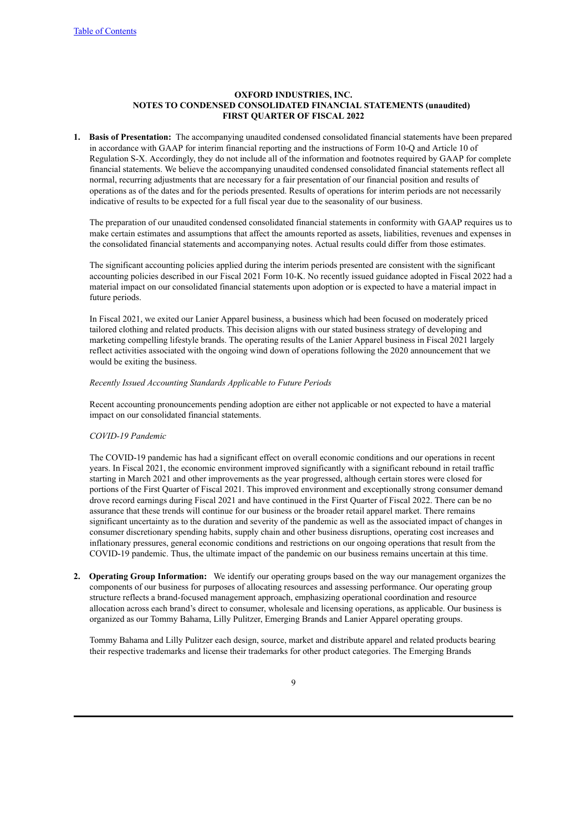# **OXFORD INDUSTRIES, INC. NOTES TO CONDENSED CONSOLIDATED FINANCIAL STATEMENTS (unaudited) FIRST QUARTER OF FISCAL 2022**

<span id="page-8-0"></span>**1. Basis of Presentation:** The accompanying unaudited condensed consolidated financial statements have been prepared in accordance with GAAP for interim financial reporting and the instructions of Form 10-Q and Article 10 of Regulation S-X. Accordingly, they do not include all of the information and footnotes required by GAAP for complete financial statements. We believe the accompanying unaudited condensed consolidated financial statements reflect all normal, recurring adjustments that are necessary for a fair presentation of our financial position and results of operations as of the dates and for the periods presented. Results of operations for interim periods are not necessarily indicative of results to be expected for a full fiscal year due to the seasonality of our business.

The preparation of our unaudited condensed consolidated financial statements in conformity with GAAP requires us to make certain estimates and assumptions that affect the amounts reported as assets, liabilities, revenues and expenses in the consolidated financial statements and accompanying notes. Actual results could differ from those estimates.

The significant accounting policies applied during the interim periods presented are consistent with the significant accounting policies described in our Fiscal 2021 Form 10-K. No recently issued guidance adopted in Fiscal 2022 had a material impact on our consolidated financial statements upon adoption or is expected to have a material impact in future periods.

In Fiscal 2021, we exited our Lanier Apparel business, a business which had been focused on moderately priced tailored clothing and related products. This decision aligns with our stated business strategy of developing and marketing compelling lifestyle brands. The operating results of the Lanier Apparel business in Fiscal 2021 largely reflect activities associated with the ongoing wind down of operations following the 2020 announcement that we would be exiting the business.

## *Recently Issued Accounting Standards Applicable to Future Periods*

Recent accounting pronouncements pending adoption are either not applicable or not expected to have a material impact on our consolidated financial statements.

## *COVID-19 Pandemic*

The COVID-19 pandemic has had a significant effect on overall economic conditions and our operations in recent years. In Fiscal 2021, the economic environment improved significantly with a significant rebound in retail traffic starting in March 2021 and other improvements as the year progressed, although certain stores were closed for portions of the First Quarter of Fiscal 2021. This improved environment and exceptionally strong consumer demand drove record earnings during Fiscal 2021 and have continued in the First Quarter of Fiscal 2022. There can be no assurance that these trends will continue for our business or the broader retail apparel market. There remains significant uncertainty as to the duration and severity of the pandemic as well as the associated impact of changes in consumer discretionary spending habits, supply chain and other business disruptions, operating cost increases and inflationary pressures, general economic conditions and restrictions on our ongoing operations that result from the COVID-19 pandemic. Thus, the ultimate impact of the pandemic on our business remains uncertain at this time.

**2. Operating Group Information:** We identify our operating groups based on the way our management organizes the components of our business for purposes of allocating resources and assessing performance. Our operating group structure reflects a brand-focused management approach, emphasizing operational coordination and resource allocation across each brand's direct to consumer, wholesale and licensing operations, as applicable. Our business is organized as our Tommy Bahama, Lilly Pulitzer, Emerging Brands and Lanier Apparel operating groups.

Tommy Bahama and Lilly Pulitzer each design, source, market and distribute apparel and related products bearing their respective trademarks and license their trademarks for other product categories. The Emerging Brands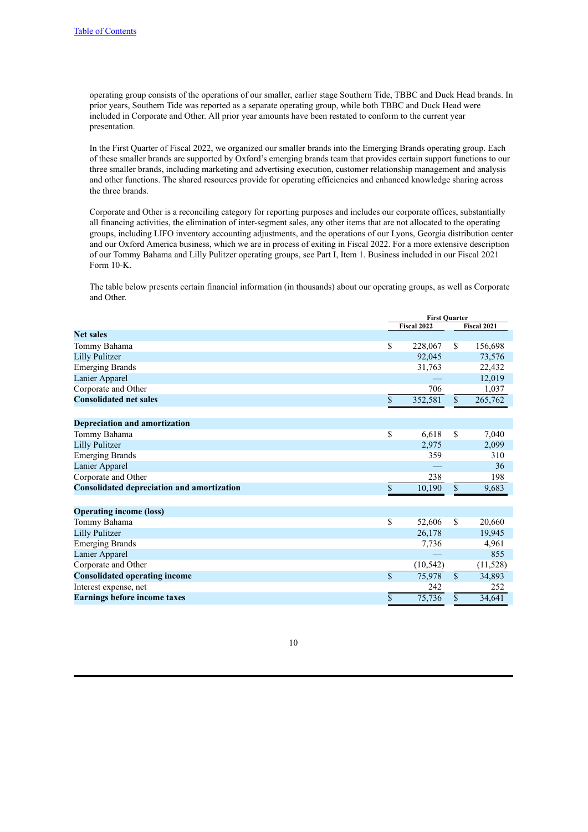operating group consists of the operations of our smaller, earlier stage Southern Tide, TBBC and Duck Head brands. In prior years, Southern Tide was reported as a separate operating group, while both TBBC and Duck Head were included in Corporate and Other. All prior year amounts have been restated to conform to the current year presentation.

In the First Quarter of Fiscal 2022, we organized our smaller brands into the Emerging Brands operating group. Each of these smaller brands are supported by Oxford's emerging brands team that provides certain support functions to our three smaller brands, including marketing and advertising execution, customer relationship management and analysis and other functions. The shared resources provide for operating efficiencies and enhanced knowledge sharing across the three brands.

Corporate and Other is a reconciling category for reporting purposes and includes our corporate offices, substantially all financing activities, the elimination of inter-segment sales, any other items that are not allocated to the operating groups, including LIFO inventory accounting adjustments, and the operations of our Lyons, Georgia distribution center and our Oxford America business, which we are in process of exiting in Fiscal 2022. For a more extensive description of our Tommy Bahama and Lilly Pulitzer operating groups, see Part I, Item 1. Business included in our Fiscal 2021 Form 10-K.

The table below presents certain financial information (in thousands) about our operating groups, as well as Corporate and Other.

|                                                   | <b>First Quarter</b> |                    |                    |  |
|---------------------------------------------------|----------------------|--------------------|--------------------|--|
|                                                   | Fiscal 2022          |                    | <b>Fiscal 2021</b> |  |
| <b>Net sales</b>                                  |                      |                    |                    |  |
| Tommy Bahama                                      | \$<br>228,067        | \$                 | 156,698            |  |
| <b>Lilly Pulitzer</b>                             | 92,045               |                    | 73,576             |  |
| <b>Emerging Brands</b>                            | 31,763               |                    | 22,432             |  |
| Lanier Apparel                                    |                      |                    | 12,019             |  |
| Corporate and Other                               | 706                  |                    | 1,037              |  |
| <b>Consolidated net sales</b>                     | \$<br>352,581        | $\overline{\$}$    | 265,762            |  |
| <b>Depreciation and amortization</b>              |                      |                    |                    |  |
| Tommy Bahama                                      | \$<br>6,618          | \$                 | 7,040              |  |
| <b>Lilly Pulitzer</b>                             | 2,975                |                    | 2,099              |  |
| <b>Emerging Brands</b>                            | 359                  |                    | 310                |  |
| Lanier Apparel                                    |                      |                    | 36                 |  |
| Corporate and Other                               | 238                  |                    | 198                |  |
| <b>Consolidated depreciation and amortization</b> | \$<br>10,190         | \$                 | 9,683              |  |
| <b>Operating income (loss)</b>                    |                      |                    |                    |  |
| Tommy Bahama                                      | \$<br>52,606         | \$                 | 20,660             |  |
| <b>Lilly Pulitzer</b>                             | 26,178               |                    | 19,945             |  |
| <b>Emerging Brands</b>                            | 7,736                |                    | 4,961              |  |
| Lanier Apparel                                    |                      |                    | 855                |  |
| Corporate and Other                               | (10, 542)            |                    | (11, 528)          |  |
| <b>Consolidated operating income</b>              | \$<br>75,978         | $\mathbf{\hat{S}}$ | 34,893             |  |
| Interest expense, net                             | 242                  |                    | 252                |  |
| <b>Earnings before income taxes</b>               | \$<br>75,736         | \$                 | 34,641             |  |

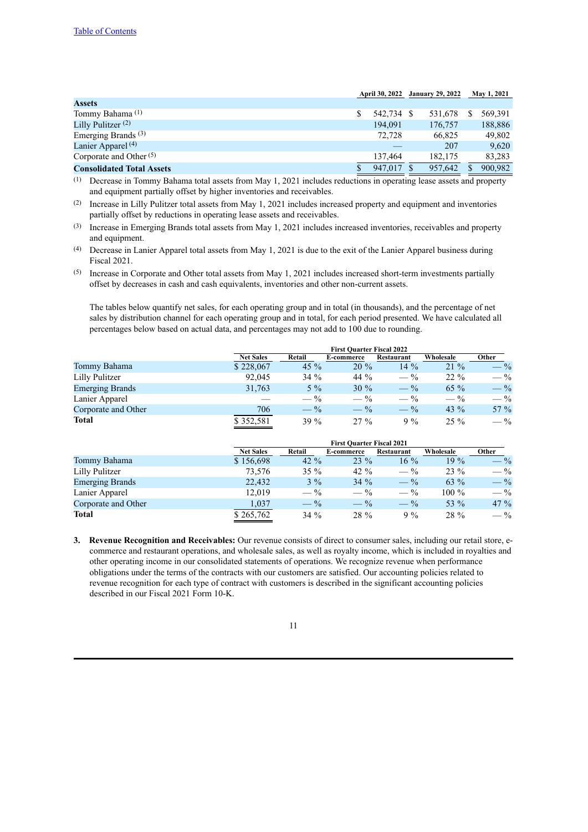|                                                 |            | April 30, 2022 January 29, 2022 |   | <b>May 1, 2021</b> |
|-------------------------------------------------|------------|---------------------------------|---|--------------------|
| <b>Assets</b>                                   |            |                                 |   |                    |
| Tommy Bahama <sup>(1)</sup>                     | 542.734 \$ | 531.678                         | S | 569.391            |
| Lilly Pulitzer <sup>(2)</sup>                   | 194.091    | 176,757                         |   | 188,886            |
| Emerging Brands $(3)$                           | 72,728     | 66,825                          |   | 49,802             |
| Lanier Apparel <sup>(4)</sup>                   |            | 207                             |   | 9.620              |
| Corporate and Other <sup><math>(5)</math></sup> | 137.464    | 182.175                         |   | 83,283             |
| <b>Consolidated Total Assets</b>                | 947.017 \$ | 957.642                         | S | 900.982            |

(1) Decrease in Tommy Bahama total assets from May 1, 2021 includes reductions in operating lease assets and property and equipment partially offset by higher inventories and receivables.

- (2) Increase in Lilly Pulitzer total assets from May 1, 2021 includes increased property and equipment and inventories partially offset by reductions in operating lease assets and receivables.
- (3) Increase in Emerging Brands total assets from May 1, 2021 includes increased inventories, receivables and property and equipment.
- (4) Decrease in Lanier Apparel total assets from May 1, 2021 is due to the exit of the Lanier Apparel business during Fiscal 2021.
- (5) Increase in Corporate and Other total assets from May 1, 2021 includes increased short-term investments partially offset by decreases in cash and cash equivalents, inventories and other non-current assets.

The tables below quantify net sales, for each operating group and in total (in thousands), and the percentage of net sales by distribution channel for each operating group and in total, for each period presented. We have calculated all percentages below based on actual data, and percentages may not add to 100 due to rounding.

|                        |                  | <b>First Quarter Fiscal 2022</b> |                |                 |           |                 |  |  |
|------------------------|------------------|----------------------------------|----------------|-----------------|-----------|-----------------|--|--|
|                        | <b>Net Sales</b> | Retail                           | E-commerce     | Restaurant      | Wholesale | Other           |  |  |
| Tommy Bahama           | \$228,067        | 45 $\%$                          | $20\%$         | $14\%$          | $21\%$    | $- \frac{9}{6}$ |  |  |
| Lilly Pulitzer         | 92,045           | $34\%$                           | 44 %           | $- \frac{9}{6}$ | $22\%$    | $-$ %           |  |  |
| <b>Emerging Brands</b> | 31,763           | $5\%$                            | $30\%$         | $-$ %           | $65\%$    | $- \frac{9}{6}$ |  |  |
| Lanier Apparel         |                  | $-$ %                            | $-$ %          | $-$ %           | $-$ %     | $- \frac{9}{6}$ |  |  |
| Corporate and Other    | 706              | $-$ %                            | $-\frac{9}{6}$ | $- \frac{9}{6}$ | 43 $\%$   | $57 \%$         |  |  |
| <b>Total</b>           | \$352,581        | 39 $%$                           | $27\%$         | $9\%$           | $25\%$    | $- \frac{9}{6}$ |  |  |

|                        |                  | <b>First Quarter Fiscal 2021</b> |                |                 |           |                 |  |  |
|------------------------|------------------|----------------------------------|----------------|-----------------|-----------|-----------------|--|--|
|                        | <b>Net Sales</b> | Retail                           | E-commerce     | Restaurant      | Wholesale | <b>Other</b>    |  |  |
| Tommy Bahama           | \$156,698        | 42 $\%$                          | $23\%$         | $16\%$          | $19\%$    | $- \frac{9}{6}$ |  |  |
| Lilly Pulitzer         | 73.576           | $35\%$                           | 42 $%$         | $-$ %           | 23 %      | $-$ %           |  |  |
| <b>Emerging Brands</b> | 22,432           | $3\%$                            | $34\%$         | $-$ %           | $63\%$    | $- \frac{9}{6}$ |  |  |
| Lanier Apparel         | 12.019           | $-$ %                            | $-$ %          | $-$ %           | $100\%$   | $- \frac{9}{6}$ |  |  |
| Corporate and Other    | 1,037            | $-$ %                            | $-\frac{9}{6}$ | $- \frac{9}{6}$ | 53 %      | $47 \%$         |  |  |
| <b>Total</b>           | \$265,762        | $34\%$                           | $28 \%$        | $9\%$           | 28 %      | $- \frac{9}{6}$ |  |  |

**3. Revenue Recognition and Receivables:** Our revenue consists of direct to consumer sales, including our retail store, ecommerce and restaurant operations, and wholesale sales, as well as royalty income, which is included in royalties and other operating income in our consolidated statements of operations. We recognize revenue when performance obligations under the terms of the contracts with our customers are satisfied. Our accounting policies related to revenue recognition for each type of contract with customers is described in the significant accounting policies described in our Fiscal 2021 Form 10-K.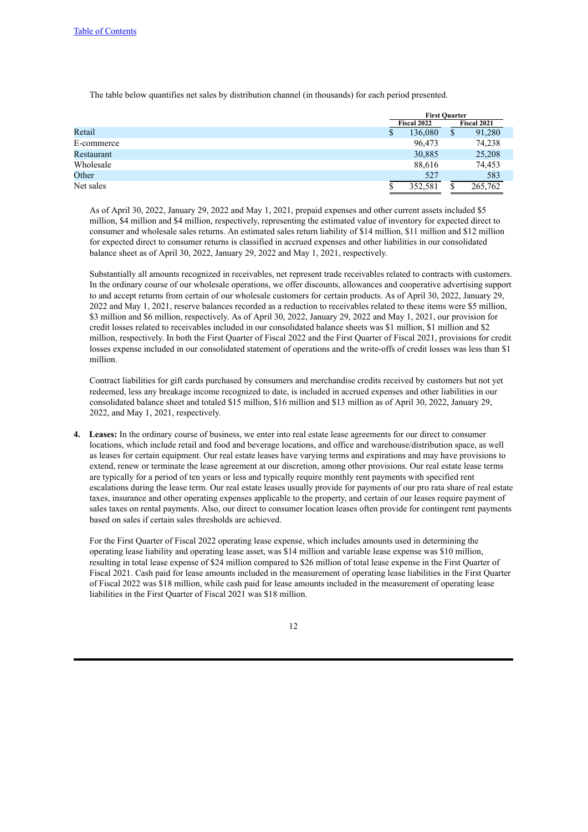|            |   | <b>First Quarter</b> |   |             |  |
|------------|---|----------------------|---|-------------|--|
|            |   | <b>Fiscal 2022</b>   |   | Fiscal 2021 |  |
| Retail     | Φ | 136,080              | S | 91,280      |  |
| E-commerce |   | 96,473               |   | 74,238      |  |
| Restaurant |   | 30,885               |   | 25,208      |  |
| Wholesale  |   | 88,616               |   | 74,453      |  |
| Other      |   | 527                  |   | 583         |  |
| Net sales  |   | 352.581              |   | 265,762     |  |

The table below quantifies net sales by distribution channel (in thousands) for each period presented.

As of April 30, 2022, January 29, 2022 and May 1, 2021, prepaid expenses and other current assets included \$5 million, \$4 million and \$4 million, respectively, representing the estimated value of inventory for expected direct to consumer and wholesale sales returns. An estimated sales return liability of \$14 million, \$11 million and \$12 million for expected direct to consumer returns is classified in accrued expenses and other liabilities in our consolidated balance sheet as of April 30, 2022, January 29, 2022 and May 1, 2021, respectively.

Substantially all amounts recognized in receivables, net represent trade receivables related to contracts with customers. In the ordinary course of our wholesale operations, we offer discounts, allowances and cooperative advertising support to and accept returns from certain of our wholesale customers for certain products. As of April 30, 2022, January 29, 2022 and May 1, 2021, reserve balances recorded as a reduction to receivables related to these items were \$5 million, \$3 million and \$6 million, respectively. As of April 30, 2022, January 29, 2022 and May 1, 2021, our provision for credit losses related to receivables included in our consolidated balance sheets was \$1 million, \$1 million and \$2 million, respectively. In both the First Quarter of Fiscal 2022 and the First Quarter of Fiscal 2021, provisions for credit losses expense included in our consolidated statement of operations and the write-offs of credit losses was less than \$1 million.

Contract liabilities for gift cards purchased by consumers and merchandise credits received by customers but not yet redeemed, less any breakage income recognized to date, is included in accrued expenses and other liabilities in our consolidated balance sheet and totaled \$15 million, \$16 million and \$13 million as of April 30, 2022, January 29, 2022, and May 1, 2021, respectively.

**4. Leases:** In the ordinary course of business, we enter into real estate lease agreements for our direct to consumer locations, which include retail and food and beverage locations, and office and warehouse/distribution space, as well as leases for certain equipment. Our real estate leases have varying terms and expirations and may have provisions to extend, renew or terminate the lease agreement at our discretion, among other provisions. Our real estate lease terms are typically for a period of ten years or less and typically require monthly rent payments with specified rent escalations during the lease term. Our real estate leases usually provide for payments of our pro rata share of real estate taxes, insurance and other operating expenses applicable to the property, and certain of our leases require payment of sales taxes on rental payments. Also, our direct to consumer location leases often provide for contingent rent payments based on sales if certain sales thresholds are achieved.

For the First Quarter of Fiscal 2022 operating lease expense, which includes amounts used in determining the operating lease liability and operating lease asset, was \$14 million and variable lease expense was \$10 million, resulting in total lease expense of \$24 million compared to \$26 million of total lease expense in the First Quarter of Fiscal 2021. Cash paid for lease amounts included in the measurement of operating lease liabilities in the First Quarter of Fiscal 2022 was \$18 million, while cash paid for lease amounts included in the measurement of operating lease liabilities in the First Quarter of Fiscal 2021 was \$18 million.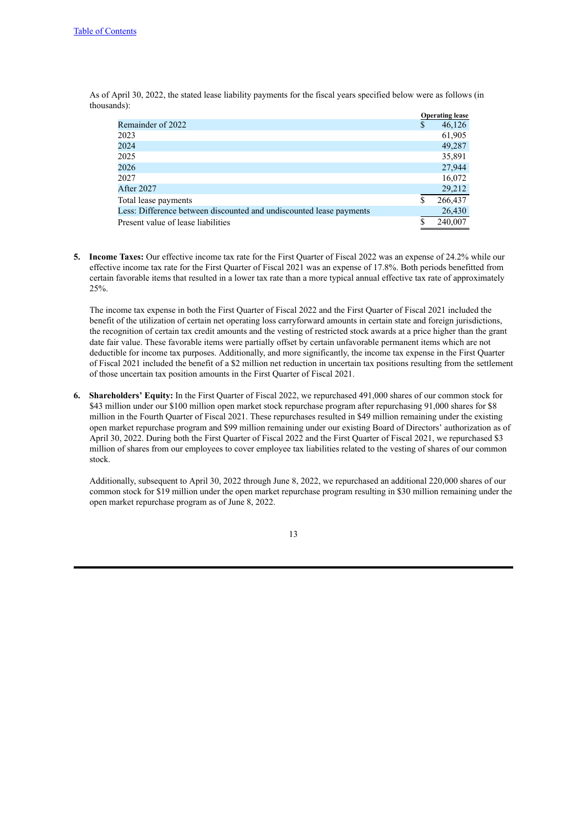As of April 30, 2022, the stated lease liability payments for the fiscal years specified below were as follows (in thousands):

|                                                                     |   | <b>Operating lease</b> |
|---------------------------------------------------------------------|---|------------------------|
| Remainder of 2022                                                   | S | 46,126                 |
| 2023                                                                |   | 61,905                 |
| 2024                                                                |   | 49,287                 |
| 2025                                                                |   | 35,891                 |
| 2026                                                                |   | 27,944                 |
| 2027                                                                |   | 16,072                 |
| <b>After 2027</b>                                                   |   | 29,212                 |
| Total lease payments                                                |   | 266,437                |
| Less: Difference between discounted and undiscounted lease payments |   | 26,430                 |
| Present value of lease liabilities                                  |   | 240.007                |

**5. Income Taxes:** Our effective income tax rate for the First Quarter of Fiscal 2022 was an expense of 24.2% while our effective income tax rate for the First Quarter of Fiscal 2021 was an expense of 17.8%. Both periods benefitted from certain favorable items that resulted in a lower tax rate than a more typical annual effective tax rate of approximately 25%.

The income tax expense in both the First Quarter of Fiscal 2022 and the First Quarter of Fiscal 2021 included the benefit of the utilization of certain net operating loss carryforward amounts in certain state and foreign jurisdictions, the recognition of certain tax credit amounts and the vesting of restricted stock awards at a price higher than the grant date fair value. These favorable items were partially offset by certain unfavorable permanent items which are not deductible for income tax purposes. Additionally, and more significantly, the income tax expense in the First Quarter of Fiscal 2021 included the benefit of a \$2 million net reduction in uncertain tax positions resulting from the settlement of those uncertain tax position amounts in the First Quarter of Fiscal 2021.

**6. Shareholders' Equity:** In the First Quarter of Fiscal 2022, we repurchased 491,000 shares of our common stock for \$43 million under our \$100 million open market stock repurchase program after repurchasing 91,000 shares for \$8 million in the Fourth Quarter of Fiscal 2021. These repurchases resulted in \$49 million remaining under the existing open market repurchase program and \$99 million remaining under our existing Board of Directors' authorization as of April 30, 2022. During both the First Quarter of Fiscal 2022 and the First Quarter of Fiscal 2021, we repurchased \$3 million of shares from our employees to cover employee tax liabilities related to the vesting of shares of our common stock.

Additionally, subsequent to April 30, 2022 through June 8, 2022, we repurchased an additional 220,000 shares of our common stock for \$19 million under the open market repurchase program resulting in \$30 million remaining under the open market repurchase program as of June 8, 2022.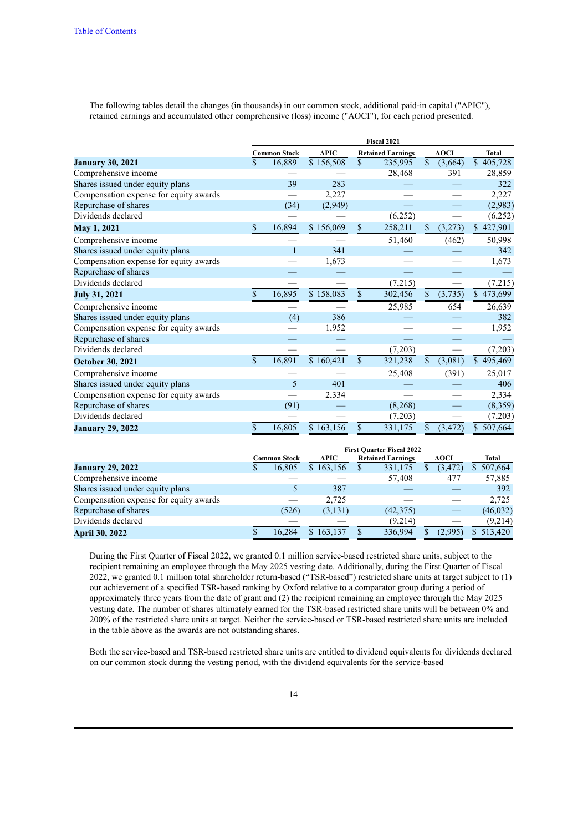The following tables detail the changes (in thousands) in our common stock, additional paid-in capital ("APIC"), retained earnings and accumulated other comprehensive (loss) income ("AOCI"), for each period presented.

|                                        | Fiscal 2021 |                     |             |              |                          |               |             |              |              |
|----------------------------------------|-------------|---------------------|-------------|--------------|--------------------------|---------------|-------------|--------------|--------------|
|                                        |             | <b>Common Stock</b> | <b>APIC</b> |              | <b>Retained Earnings</b> |               | <b>AOCI</b> |              | <b>Total</b> |
| <b>January 30, 2021</b>                | \$          | 16,889              | \$156,508   | $\mathbb{S}$ | 235,995                  | $\mathbb{S}$  | (3,664)     |              | \$405,728    |
| Comprehensive income                   |             |                     |             |              | 28,468                   |               | 391         |              | 28,859       |
| Shares issued under equity plans       |             | 39                  | 283         |              |                          |               |             |              | 322          |
| Compensation expense for equity awards |             |                     | 2,227       |              |                          |               |             |              | 2,227        |
| Repurchase of shares                   |             | (34)                | (2,949)     |              |                          |               |             |              | (2,983)      |
| Dividends declared                     |             |                     |             |              | (6,252)                  |               |             |              | (6,252)      |
| May 1, 2021                            | \$          | 16,894              | \$156,069   | \$           | 258,211                  | \$            | (3,273)     |              | \$427,901    |
| Comprehensive income                   |             |                     |             |              | 51,460                   |               | (462)       |              | 50,998       |
| Shares issued under equity plans       |             | $\mathbf{1}$        | 341         |              |                          |               |             |              | 342          |
| Compensation expense for equity awards |             |                     | 1,673       |              |                          |               |             |              | 1,673        |
| Repurchase of shares                   |             |                     |             |              |                          |               |             |              |              |
| Dividends declared                     |             |                     |             |              | (7,215)                  |               |             |              | (7,215)      |
| <b>July 31, 2021</b>                   | \$          | 16,895              | \$158,083   | \$           | 302,456                  | $\mathbf S$   | (3,735)     |              | \$473,699    |
| Comprehensive income                   |             |                     |             |              | 25,985                   |               | 654         |              | 26,639       |
| Shares issued under equity plans       |             | (4)                 | 386         |              |                          |               |             |              | 382          |
| Compensation expense for equity awards |             |                     | 1,952       |              |                          |               |             |              | 1,952        |
| Repurchase of shares                   |             |                     |             |              |                          |               |             |              |              |
| Dividends declared                     |             |                     |             |              | (7,203)                  |               |             |              | (7,203)      |
| <b>October 30, 2021</b>                | \$          | 16,891              | \$160,421   | \$           | 321,238                  | <sup>\$</sup> | (3,081)     | $\mathbb{S}$ | 495,469      |
| Comprehensive income                   |             |                     |             |              | 25,408                   |               | (391)       |              | 25,017       |
| Shares issued under equity plans       |             | 5                   | 401         |              |                          |               |             |              | 406          |
| Compensation expense for equity awards |             |                     | 2,334       |              |                          |               |             |              | 2,334        |
| Repurchase of shares                   |             | (91)                |             |              | (8, 268)                 |               |             |              | (8,359)      |
| Dividends declared                     |             |                     |             |              | (7,203)                  |               |             |              | (7,203)      |
| <b>January 29, 2022</b>                | \$          | 16,805              | \$163,156   | \$           | 331,175                  | \$            | (3, 472)    |              | \$507,664    |

|                                        | <b>First Ouarter Fiscal 2022</b> |              |             |  |                          |  |             |           |
|----------------------------------------|----------------------------------|--------------|-------------|--|--------------------------|--|-------------|-----------|
|                                        |                                  | Common Stock | <b>APIC</b> |  | <b>Retained Earnings</b> |  | <b>AOCI</b> | Total     |
| <b>January 29, 2022</b>                |                                  | 16,805       | \$163,156   |  | 331,175                  |  | (3, 472)    | \$507,664 |
| Comprehensive income                   |                                  |              |             |  | 57,408                   |  | 477         | 57,885    |
| Shares issued under equity plans       |                                  |              | 387         |  |                          |  |             | 392       |
| Compensation expense for equity awards |                                  |              | 2,725       |  |                          |  |             | 2,725     |
| Repurchase of shares                   |                                  | (526)        | (3, 131)    |  | (42,375)                 |  |             | (46, 032) |
| Dividends declared                     |                                  |              |             |  | (9,214)                  |  |             | (9,214)   |
| <b>April 30, 2022</b>                  |                                  | 16.284       | \$163,137   |  | 336,994                  |  | (2.995)     | \$513.420 |

During the First Quarter of Fiscal 2022, we granted 0.1 million service-based restricted share units, subject to the recipient remaining an employee through the May 2025 vesting date. Additionally, during the First Quarter of Fiscal 2022, we granted 0.1 million total shareholder return-based ("TSR-based") restricted share units at target subject to (1) our achievement of a specified TSR-based ranking by Oxford relative to a comparator group during a period of approximately three years from the date of grant and (2) the recipient remaining an employee through the May 2025 vesting date. The number of shares ultimately earned for the TSR-based restricted share units will be between 0% and 200% of the restricted share units at target. Neither the service-based or TSR-based restricted share units are included in the table above as the awards are not outstanding shares.

Both the service-based and TSR-based restricted share units are entitled to dividend equivalents for dividends declared on our common stock during the vesting period, with the dividend equivalents for the service-based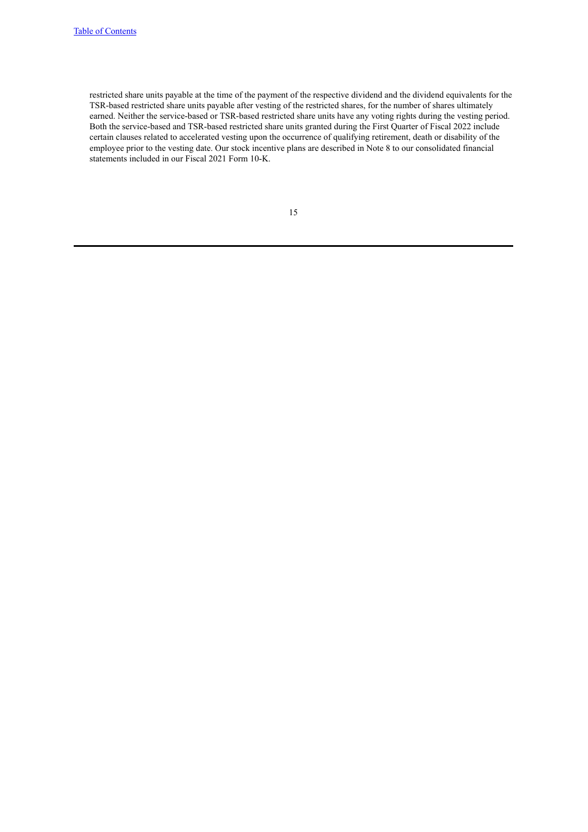restricted share units payable at the time of the payment of the respective dividend and the dividend equivalents for the TSR-based restricted share units payable after vesting of the restricted shares, for the number of shares ultimately earned. Neither the service-based or TSR-based restricted share units have any voting rights during the vesting period. Both the service-based and TSR-based restricted share units granted during the First Quarter of Fiscal 2022 include certain clauses related to accelerated vesting upon the occurrence of qualifying retirement, death or disability of the employee prior to the vesting date. Our stock incentive plans are described in Note 8 to our consolidated financial statements included in our Fiscal 2021 Form 10-K.

| ×            |
|--------------|
| ۰,<br>×<br>٧ |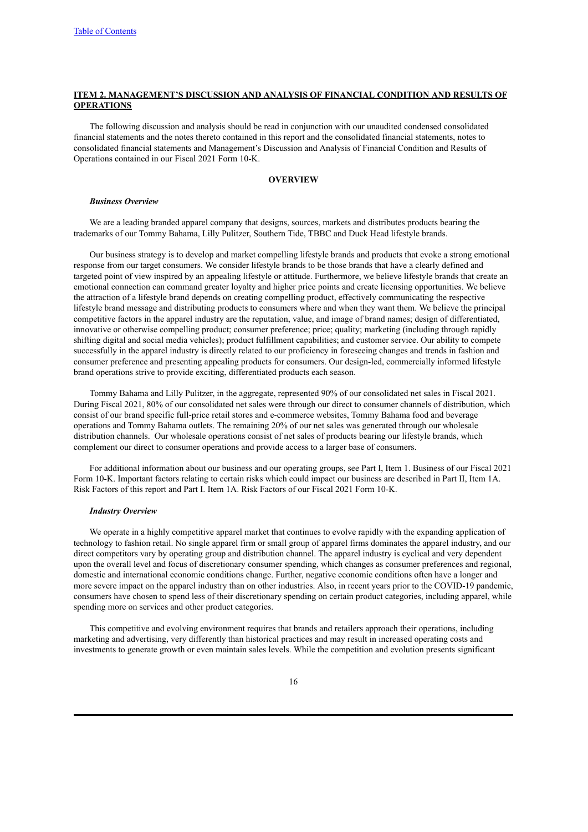# <span id="page-15-0"></span>**ITEM 2. MANAGEMENT'S DISCUSSION AND ANALYSIS OF FINANCIAL CONDITION AND RESULTS OF OPERATIONS**

The following discussion and analysis should be read in conjunction with our unaudited condensed consolidated financial statements and the notes thereto contained in this report and the consolidated financial statements, notes to consolidated financial statements and Management's Discussion and Analysis of Financial Condition and Results of Operations contained in our Fiscal 2021 Form 10-K.

## **OVERVIEW**

#### *Business Overview*

We are a leading branded apparel company that designs, sources, markets and distributes products bearing the trademarks of our Tommy Bahama, Lilly Pulitzer, Southern Tide, TBBC and Duck Head lifestyle brands.

Our business strategy is to develop and market compelling lifestyle brands and products that evoke a strong emotional response from our target consumers. We consider lifestyle brands to be those brands that have a clearly defined and targeted point of view inspired by an appealing lifestyle or attitude. Furthermore, we believe lifestyle brands that create an emotional connection can command greater loyalty and higher price points and create licensing opportunities. We believe the attraction of a lifestyle brand depends on creating compelling product, effectively communicating the respective lifestyle brand message and distributing products to consumers where and when they want them. We believe the principal competitive factors in the apparel industry are the reputation, value, and image of brand names; design of differentiated, innovative or otherwise compelling product; consumer preference; price; quality; marketing (including through rapidly shifting digital and social media vehicles); product fulfillment capabilities; and customer service. Our ability to compete successfully in the apparel industry is directly related to our proficiency in foreseeing changes and trends in fashion and consumer preference and presenting appealing products for consumers. Our design-led, commercially informed lifestyle brand operations strive to provide exciting, differentiated products each season.

Tommy Bahama and Lilly Pulitzer, in the aggregate, represented 90% of our consolidated net sales in Fiscal 2021. During Fiscal 2021, 80% of our consolidated net sales were through our direct to consumer channels of distribution, which consist of our brand specific full-price retail stores and e-commerce websites, Tommy Bahama food and beverage operations and Tommy Bahama outlets. The remaining 20% of our net sales was generated through our wholesale distribution channels. Our wholesale operations consist of net sales of products bearing our lifestyle brands, which complement our direct to consumer operations and provide access to a larger base of consumers.

For additional information about our business and our operating groups, see Part I, Item 1. Business of our Fiscal 2021 Form 10-K. Important factors relating to certain risks which could impact our business are described in Part II, Item 1A. Risk Factors of this report and Part I. Item 1A. Risk Factors of our Fiscal 2021 Form 10-K.

#### *Industry Overview*

We operate in a highly competitive apparel market that continues to evolve rapidly with the expanding application of technology to fashion retail. No single apparel firm or small group of apparel firms dominates the apparel industry, and our direct competitors vary by operating group and distribution channel. The apparel industry is cyclical and very dependent upon the overall level and focus of discretionary consumer spending, which changes as consumer preferences and regional, domestic and international economic conditions change. Further, negative economic conditions often have a longer and more severe impact on the apparel industry than on other industries. Also, in recent years prior to the COVID-19 pandemic, consumers have chosen to spend less of their discretionary spending on certain product categories, including apparel, while spending more on services and other product categories.

This competitive and evolving environment requires that brands and retailers approach their operations, including marketing and advertising, very differently than historical practices and may result in increased operating costs and investments to generate growth or even maintain sales levels. While the competition and evolution presents significant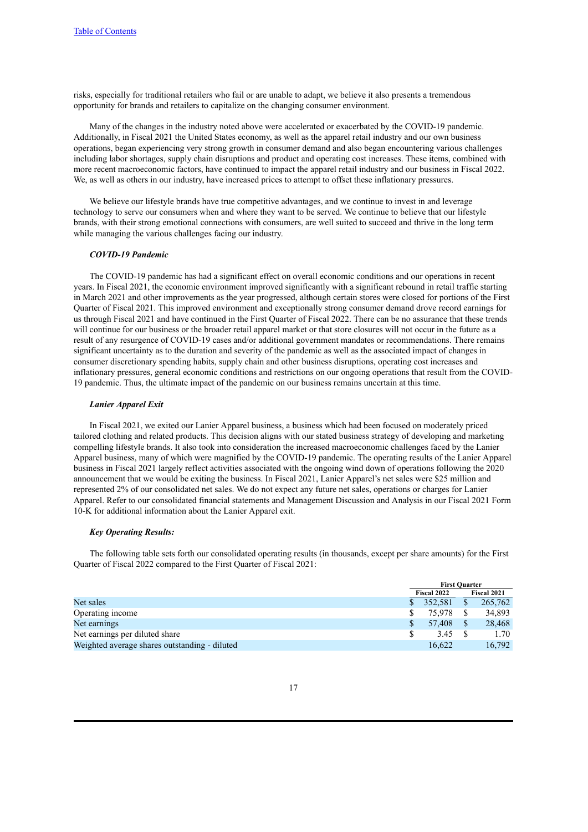risks, especially for traditional retailers who fail or are unable to adapt, we believe it also presents a tremendous opportunity for brands and retailers to capitalize on the changing consumer environment.

Many of the changes in the industry noted above were accelerated or exacerbated by the COVID-19 pandemic. Additionally, in Fiscal 2021 the United States economy, as well as the apparel retail industry and our own business operations, began experiencing very strong growth in consumer demand and also began encountering various challenges including labor shortages, supply chain disruptions and product and operating cost increases. These items, combined with more recent macroeconomic factors, have continued to impact the apparel retail industry and our business in Fiscal 2022. We, as well as others in our industry, have increased prices to attempt to offset these inflationary pressures.

We believe our lifestyle brands have true competitive advantages, and we continue to invest in and leverage technology to serve our consumers when and where they want to be served. We continue to believe that our lifestyle brands, with their strong emotional connections with consumers, are well suited to succeed and thrive in the long term while managing the various challenges facing our industry.

# *COVID-19 Pandemic*

The COVID-19 pandemic has had a significant effect on overall economic conditions and our operations in recent years. In Fiscal 2021, the economic environment improved significantly with a significant rebound in retail traffic starting in March 2021 and other improvements as the year progressed, although certain stores were closed for portions of the First Quarter of Fiscal 2021. This improved environment and exceptionally strong consumer demand drove record earnings for us through Fiscal 2021 and have continued in the First Quarter of Fiscal 2022. There can be no assurance that these trends will continue for our business or the broader retail apparel market or that store closures will not occur in the future as a result of any resurgence of COVID-19 cases and/or additional government mandates or recommendations. There remains significant uncertainty as to the duration and severity of the pandemic as well as the associated impact of changes in consumer discretionary spending habits, supply chain and other business disruptions, operating cost increases and inflationary pressures, general economic conditions and restrictions on our ongoing operations that result from the COVID-19 pandemic. Thus, the ultimate impact of the pandemic on our business remains uncertain at this time.

# *Lanier Apparel Exit*

In Fiscal 2021, we exited our Lanier Apparel business, a business which had been focused on moderately priced tailored clothing and related products. This decision aligns with our stated business strategy of developing and marketing compelling lifestyle brands. It also took into consideration the increased macroeconomic challenges faced by the Lanier Apparel business, many of which were magnified by the COVID-19 pandemic. The operating results of the Lanier Apparel business in Fiscal 2021 largely reflect activities associated with the ongoing wind down of operations following the 2020 announcement that we would be exiting the business. In Fiscal 2021, Lanier Apparel's net sales were \$25 million and represented 2% of our consolidated net sales. We do not expect any future net sales, operations or charges for Lanier Apparel. Refer to our consolidated financial statements and Management Discussion and Analysis in our Fiscal 2021 Form 10-K for additional information about the Lanier Apparel exit.

#### *Key Operating Results:*

The following table sets forth our consolidated operating results (in thousands, except per share amounts) for the First Quarter of Fiscal 2022 compared to the First Quarter of Fiscal 2021:

|                                               | <b>First Quarter</b> |             |  |             |
|-----------------------------------------------|----------------------|-------------|--|-------------|
|                                               |                      | Fiscal 2022 |  | Fiscal 2021 |
| Net sales                                     |                      | 352.581     |  | 265,762     |
| Operating income                              |                      | 75.978      |  | 34.893      |
| Net earnings                                  |                      | 57,408      |  | 28,468      |
| Net earnings per diluted share                |                      | 3.45        |  | 1.70        |
| Weighted average shares outstanding - diluted |                      | 16.622      |  | 16,792      |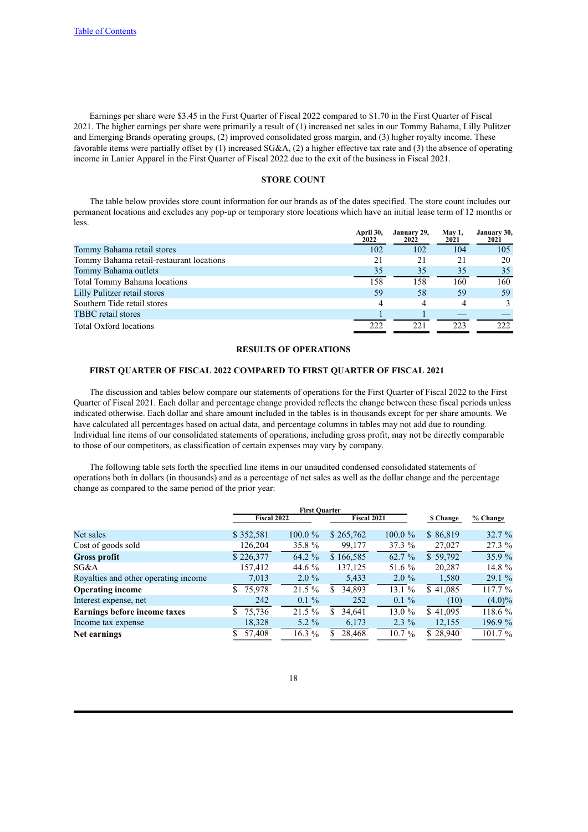Earnings per share were \$3.45 in the First Quarter of Fiscal 2022 compared to \$1.70 in the First Quarter of Fiscal 2021. The higher earnings per share were primarily a result of (1) increased net sales in our Tommy Bahama, Lilly Pulitzer and Emerging Brands operating groups, (2) improved consolidated gross margin, and (3) higher royalty income. These favorable items were partially offset by (1) increased SG&A, (2) a higher effective tax rate and (3) the absence of operating income in Lanier Apparel in the First Quarter of Fiscal 2022 due to the exit of the business in Fiscal 2021.

# **STORE COUNT**

The table below provides store count information for our brands as of the dates specified. The store count includes our permanent locations and excludes any pop-up or temporary store locations which have an initial lease term of 12 months or less.

|                                          | April 30,<br>2022 | January 29,<br>2022 | May 1,<br>2021 | January 30,<br>2021 |
|------------------------------------------|-------------------|---------------------|----------------|---------------------|
| Tommy Bahama retail stores               | 102               | 102                 | 104            | 105                 |
| Tommy Bahama retail-restaurant locations | 21                | 21                  | 21             | 20                  |
| Tommy Bahama outlets                     | 35                | 35                  | 35             | 35                  |
| Total Tommy Bahama locations             | 158               | 158                 | 160            | 160                 |
| Lilly Pulitzer retail stores             | 59                | 58                  | 59             | 59                  |
| Southern Tide retail stores              | 4                 | 4                   | 4              |                     |
| <b>TBBC</b> retail stores                |                   |                     |                |                     |
| <b>Total Oxford locations</b>            | າາາ               | 221                 | つつつ            | າາາ                 |

# **RESULTS OF OPERATIONS**

#### **FIRST QUARTER OF FISCAL 2022 COMPARED TO FIRST QUARTER OF FISCAL 2021**

The discussion and tables below compare our statements of operations for the First Quarter of Fiscal 2022 to the First Quarter of Fiscal 2021. Each dollar and percentage change provided reflects the change between these fiscal periods unless indicated otherwise. Each dollar and share amount included in the tables is in thousands except for per share amounts. We have calculated all percentages based on actual data, and percentage columns in tables may not add due to rounding. Individual line items of our consolidated statements of operations, including gross profit, may not be directly comparable to those of our competitors, as classification of certain expenses may vary by company.

The following table sets forth the specified line items in our unaudited condensed consolidated statements of operations both in dollars (in thousands) and as a percentage of net sales as well as the dollar change and the percentage change as compared to the same period of the prior year:

|                                      |              | <b>First Quarter</b> |              |            |                 |           |
|--------------------------------------|--------------|----------------------|--------------|------------|-----------------|-----------|
|                                      | Fiscal 2022  |                      | Fiscal 2021  |            | <b>S</b> Change | % Change  |
| Net sales                            | \$352,581    | $100.0 \%$           | \$265,762    | $100.0 \%$ | \$86,819        | 32.7%     |
| Cost of goods sold                   | 126.204      | 35.8 %               | 99,177       | $37.3 \%$  | 27,027          | $27.3 \%$ |
| <b>Gross profit</b>                  | \$226,377    | 64.2 %               | \$166,585    | 62.7 %     | \$59,792        | 35.9%     |
| SG&A                                 | 157,412      | 44.6 %               | 137,125      | 51.6 %     | 20,287          | 14.8 %    |
| Royalties and other operating income | 7,013        | $2.0\%$              | 5,433        | $2.0\%$    | 1,580           | 29.1 %    |
| <b>Operating income</b>              | 75,978<br>S. | 21.5 %               | 34,893<br>S. | 13.1%      | \$41.085        | 117.7%    |
| Interest expense, net                | 242          | $0.1\%$              | 252          | $0.1 \%$   | (10)            | $(4.0)\%$ |
| <b>Earnings before income taxes</b>  | 75,736<br>S. | 21.5 %               | 34,641<br>S. | 13.0 %     | \$41.095        | 118.6%    |
| Income tax expense                   | 18,328       | $5.2\%$              | 6,173        | $2.3\%$    | 12,155          | 196.9 %   |
| Net earnings                         | 57,408       | $16.3\%$             | 28,468       | 10.7%      | \$28,940        | 101.7%    |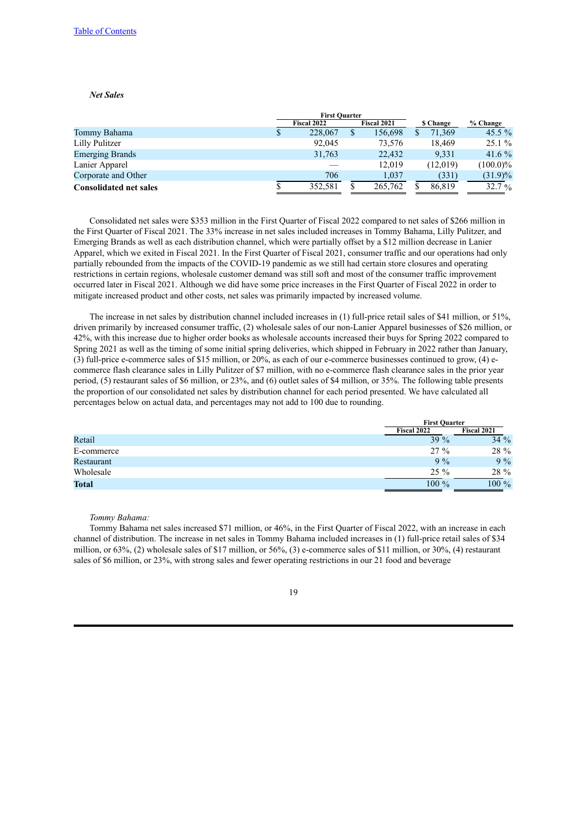# *Net Sales*

|                               | <b>First Quarter</b> |                    |  |                    |   |           |             |
|-------------------------------|----------------------|--------------------|--|--------------------|---|-----------|-------------|
|                               |                      | <b>Fiscal 2022</b> |  | <b>Fiscal 2021</b> |   | \$ Change | % Change    |
| Tommy Bahama                  | D                    | 228,067            |  | 156,698            | S | 71.369    | 45.5 $%$    |
| Lilly Pulitzer                |                      | 92.045             |  | 73,576             |   | 18,469    | $25.1\%$    |
| <b>Emerging Brands</b>        |                      | 31,763             |  | 22,432             |   | 9.331     | 41.6 $%$    |
| Lanier Apparel                |                      |                    |  | 12,019             |   | (12,019)  | $(100.0)\%$ |
| Corporate and Other           |                      | 706                |  | 1.037              |   | (331)     | $(31.9)\%$  |
| <b>Consolidated net sales</b> |                      | 352.581            |  | 265,762            |   | 86,819    | $32.7\%$    |

Consolidated net sales were \$353 million in the First Quarter of Fiscal 2022 compared to net sales of \$266 million in the First Quarter of Fiscal 2021. The 33% increase in net sales included increases in Tommy Bahama, Lilly Pulitzer, and Emerging Brands as well as each distribution channel, which were partially offset by a \$12 million decrease in Lanier Apparel, which we exited in Fiscal 2021. In the First Quarter of Fiscal 2021, consumer traffic and our operations had only partially rebounded from the impacts of the COVID-19 pandemic as we still had certain store closures and operating restrictions in certain regions, wholesale customer demand was still soft and most of the consumer traffic improvement occurred later in Fiscal 2021. Although we did have some price increases in the First Quarter of Fiscal 2022 in order to mitigate increased product and other costs, net sales was primarily impacted by increased volume.

The increase in net sales by distribution channel included increases in (1) full-price retail sales of \$41 million, or 51%, driven primarily by increased consumer traffic, (2) wholesale sales of our non-Lanier Apparel businesses of \$26 million, or 42%, with this increase due to higher order books as wholesale accounts increased their buys for Spring 2022 compared to Spring 2021 as well as the timing of some initial spring deliveries, which shipped in February in 2022 rather than January, (3) full-price e-commerce sales of \$15 million, or 20%, as each of our e-commerce businesses continued to grow, (4) ecommerce flash clearance sales in Lilly Pulitzer of \$7 million, with no e-commerce flash clearance sales in the prior year period, (5) restaurant sales of \$6 million, or 23%, and (6) outlet sales of \$4 million, or 35%. The following table presents the proportion of our consolidated net sales by distribution channel for each period presented. We have calculated all percentages below on actual data, and percentages may not add to 100 due to rounding.

|              | <b>First Ouarter</b> |             |
|--------------|----------------------|-------------|
|              | <b>Fiscal 2022</b>   | Fiscal 2021 |
| Retail       | 39%                  | $34\%$      |
| E-commerce   | $27\%$               | 28 %        |
| Restaurant   | $9\%$                | $9\%$       |
| Wholesale    | $25\%$               | 28 %        |
| <b>Total</b> | $100\%$              | $100\%$     |

*Tommy Bahama:*

Tommy Bahama net sales increased \$71 million, or 46%, in the First Quarter of Fiscal 2022, with an increase in each channel of distribution. The increase in net sales in Tommy Bahama included increases in (1) full-price retail sales of \$34 million, or 63%, (2) wholesale sales of \$17 million, or 56%, (3) e-commerce sales of \$11 million, or 30%, (4) restaurant sales of \$6 million, or 23%, with strong sales and fewer operating restrictions in our 21 food and beverage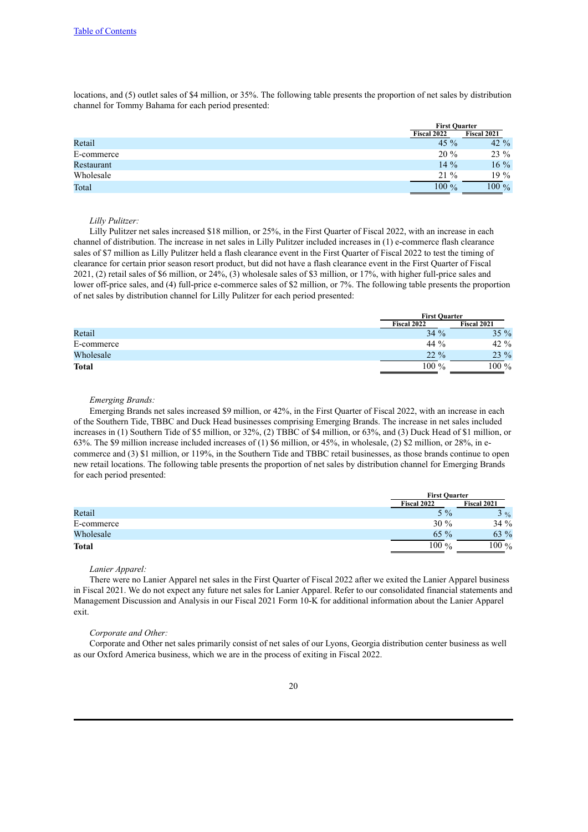locations, and (5) outlet sales of \$4 million, or 35%. The following table presents the proportion of net sales by distribution channel for Tommy Bahama for each period presented:

|            | <b>First Quarter</b> |                    |
|------------|----------------------|--------------------|
|            | <b>Fiscal 2022</b>   | <b>Fiscal 2021</b> |
| Retail     | 45 $%$               | 42 $\%$            |
| E-commerce | $20\%$               | 23 %               |
| Restaurant | $14\%$               | $16\%$             |
| Wholesale  | $21\%$               | $19\%$             |
| Total      | $100\%$              | $100\%$            |

#### *Lilly Pulitzer:*

Lilly Pulitzer net sales increased \$18 million, or 25%, in the First Quarter of Fiscal 2022, with an increase in each channel of distribution. The increase in net sales in Lilly Pulitzer included increases in (1) e-commerce flash clearance sales of \$7 million as Lilly Pulitzer held a flash clearance event in the First Quarter of Fiscal 2022 to test the timing of clearance for certain prior season resort product, but did not have a flash clearance event in the First Quarter of Fiscal 2021, (2) retail sales of \$6 million, or 24%, (3) wholesale sales of \$3 million, or 17%, with higher full-price sales and lower off-price sales, and (4) full-price e-commerce sales of \$2 million, or 7%. The following table presents the proportion of net sales by distribution channel for Lilly Pulitzer for each period presented:

|              | <b>First Ouarter</b> |                    |
|--------------|----------------------|--------------------|
|              | <b>Fiscal 2022</b>   | <b>Fiscal 2021</b> |
| Retail       | $34\%$               | $35\%$             |
| E-commerce   | 44 $%$               | 42 $\%$            |
| Wholesale    | $22\%$               | $23\%$             |
| <b>Total</b> | $100\%$              | $100\%$            |

#### *Emerging Brands:*

Emerging Brands net sales increased \$9 million, or 42%, in the First Quarter of Fiscal 2022, with an increase in each of the Southern Tide, TBBC and Duck Head businesses comprising Emerging Brands. The increase in net sales included increases in (1) Southern Tide of \$5 million, or 32%, (2) TBBC of \$4 million, or 63%, and (3) Duck Head of \$1 million, or 63%. The \$9 million increase included increases of (1) \$6 million, or 45%, in wholesale, (2) \$2 million, or 28%, in ecommerce and (3) \$1 million, or 119%, in the Southern Tide and TBBC retail businesses, as those brands continue to open new retail locations. The following table presents the proportion of net sales by distribution channel for Emerging Brands for each period presented:

|              | <b>First Ouarter</b> |             |
|--------------|----------------------|-------------|
|              | <b>Fiscal 2022</b>   | Fiscal 2021 |
| Retail       | $5\%$                | $3\%$       |
| E-commerce   | $30\%$               | $34\%$      |
| Wholesale    | $65\%$               | 63 %        |
| <b>Total</b> | $100\%$              | $100\%$     |

#### *Lanier Apparel:*

There were no Lanier Apparel net sales in the First Quarter of Fiscal 2022 after we exited the Lanier Apparel business in Fiscal 2021. We do not expect any future net sales for Lanier Apparel. Refer to our consolidated financial statements and Management Discussion and Analysis in our Fiscal 2021 Form 10-K for additional information about the Lanier Apparel exit.

#### *Corporate and Other:*

Corporate and Other net sales primarily consist of net sales of our Lyons, Georgia distribution center business as well as our Oxford America business, which we are in the process of exiting in Fiscal 2022.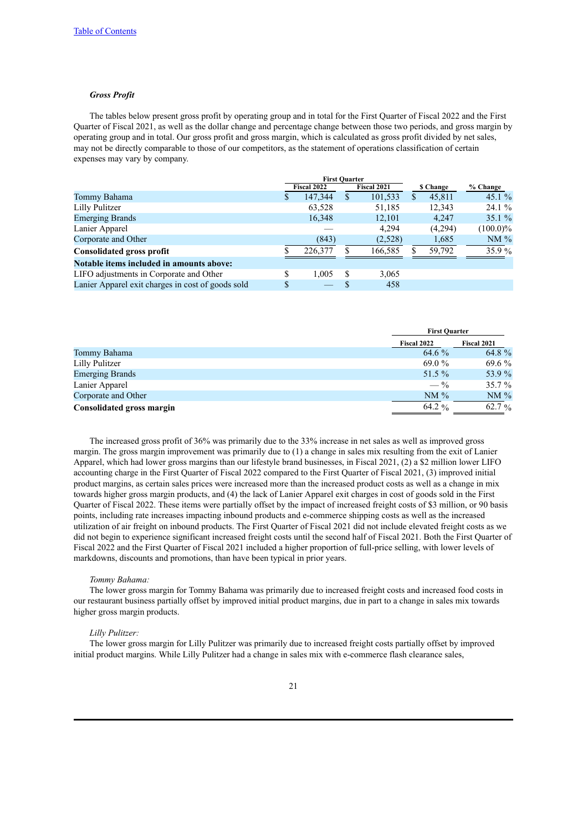## *Gross Profit*

The tables below present gross profit by operating group and in total for the First Quarter of Fiscal 2022 and the First Quarter of Fiscal 2021, as well as the dollar change and percentage change between those two periods, and gross margin by operating group and in total. Our gross profit and gross margin, which is calculated as gross profit divided by net sales, may not be directly comparable to those of our competitors, as the statement of operations classification of certain expenses may vary by company.

|                                                   | <b>First Ouarter</b> |   |                    |   |                 |             |
|---------------------------------------------------|----------------------|---|--------------------|---|-----------------|-------------|
|                                                   | <b>Fiscal 2022</b>   |   | <b>Fiscal 2021</b> |   | <b>S</b> Change | % Change    |
| Tommy Bahama                                      | \$<br>147,344        | S | 101,533            | S | 45,811          | 45.1 $%$    |
| Lilly Pulitzer                                    | 63,528               |   | 51,185             |   | 12,343          | 24.1%       |
| <b>Emerging Brands</b>                            | 16,348               |   | 12,101             |   | 4.247           | 35.1%       |
| Lanier Apparel                                    |                      |   | 4.294              |   | (4,294)         | $(100.0)\%$ |
| Corporate and Other                               | (843)                |   | (2,528)            |   | 1,685           | NM%         |
| <b>Consolidated gross profit</b>                  | 226,377              |   | 166,585            |   | 59,792          | 35.9 $\%$   |
| Notable items included in amounts above:          |                      |   |                    |   |                 |             |
| LIFO adjustments in Corporate and Other           | \$<br>1,005          | S | 3,065              |   |                 |             |
| Lanier Apparel exit charges in cost of goods sold | \$                   |   | 458                |   |                 |             |

| <b>First Quarter</b> |             |
|----------------------|-------------|
| Fiscal 2022          | Fiscal 2021 |
| 64.6 %               | 64.8%       |
| 69.0 %               | 69.6 %      |
| 51.5 %               | 53.9 %      |
| $-$ %                | $35.7\%$    |
| NM%                  | NM%         |
| 64.2%                | 62.7 $\%$   |
|                      |             |

The increased gross profit of 36% was primarily due to the 33% increase in net sales as well as improved gross margin. The gross margin improvement was primarily due to (1) a change in sales mix resulting from the exit of Lanier Apparel, which had lower gross margins than our lifestyle brand businesses, in Fiscal 2021, (2) a \$2 million lower LIFO accounting charge in the First Quarter of Fiscal 2022 compared to the First Quarter of Fiscal 2021, (3) improved initial product margins, as certain sales prices were increased more than the increased product costs as well as a change in mix towards higher gross margin products, and (4) the lack of Lanier Apparel exit charges in cost of goods sold in the First Quarter of Fiscal 2022. These items were partially offset by the impact of increased freight costs of \$3 million, or 90 basis points, including rate increases impacting inbound products and e-commerce shipping costs as well as the increased utilization of air freight on inbound products. The First Quarter of Fiscal 2021 did not include elevated freight costs as we did not begin to experience significant increased freight costs until the second half of Fiscal 2021. Both the First Quarter of Fiscal 2022 and the First Quarter of Fiscal 2021 included a higher proportion of full-price selling, with lower levels of markdowns, discounts and promotions, than have been typical in prior years.

## *Tommy Bahama:*

The lower gross margin for Tommy Bahama was primarily due to increased freight costs and increased food costs in our restaurant business partially offset by improved initial product margins, due in part to a change in sales mix towards higher gross margin products.

# *Lilly Pulitzer:*

The lower gross margin for Lilly Pulitzer was primarily due to increased freight costs partially offset by improved initial product margins. While Lilly Pulitzer had a change in sales mix with e-commerce flash clearance sales,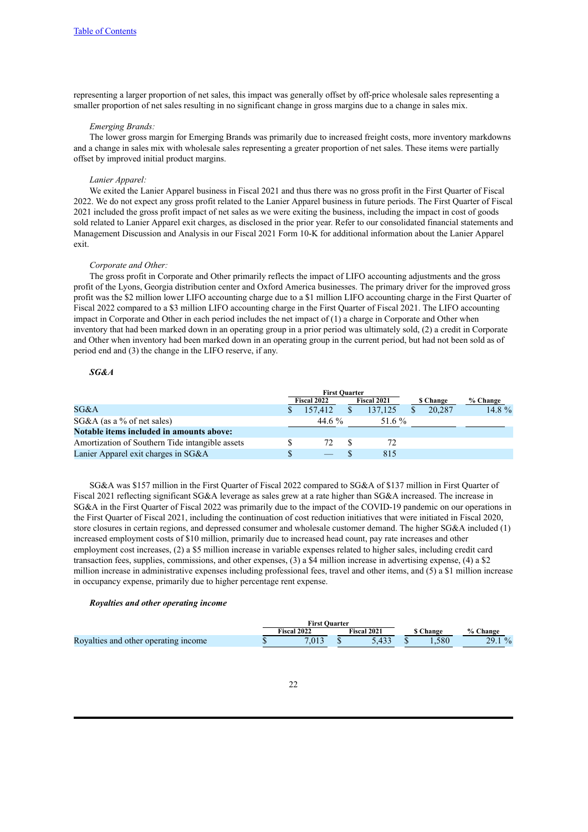representing a larger proportion of net sales, this impact was generally offset by off-price wholesale sales representing a smaller proportion of net sales resulting in no significant change in gross margins due to a change in sales mix.

#### *Emerging Brands:*

The lower gross margin for Emerging Brands was primarily due to increased freight costs, more inventory markdowns and a change in sales mix with wholesale sales representing a greater proportion of net sales. These items were partially offset by improved initial product margins.

#### *Lanier Apparel:*

We exited the Lanier Apparel business in Fiscal 2021 and thus there was no gross profit in the First Quarter of Fiscal 2022. We do not expect any gross profit related to the Lanier Apparel business in future periods. The First Quarter of Fiscal 2021 included the gross profit impact of net sales as we were exiting the business, including the impact in cost of goods sold related to Lanier Apparel exit charges, as disclosed in the prior year. Refer to our consolidated financial statements and Management Discussion and Analysis in our Fiscal 2021 Form 10-K for additional information about the Lanier Apparel exit.

#### *Corporate and Other:*

The gross profit in Corporate and Other primarily reflects the impact of LIFO accounting adjustments and the gross profit of the Lyons, Georgia distribution center and Oxford America businesses. The primary driver for the improved gross profit was the \$2 million lower LIFO accounting charge due to a \$1 million LIFO accounting charge in the First Quarter of Fiscal 2022 compared to a \$3 million LIFO accounting charge in the First Quarter of Fiscal 2021. The LIFO accounting impact in Corporate and Other in each period includes the net impact of (1) a charge in Corporate and Other when inventory that had been marked down in an operating group in a prior period was ultimately sold, (2) a credit in Corporate and Other when inventory had been marked down in an operating group in the current period, but had not been sold as of period end and (3) the change in the LIFO reserve, if any.

# *SG&A*

|                                                 | <b>First Quarter</b> |                    |  |             |  |                 |          |
|-------------------------------------------------|----------------------|--------------------|--|-------------|--|-----------------|----------|
|                                                 |                      | <b>Fiscal 2022</b> |  | Fiscal 2021 |  | <b>S</b> Change | % Change |
| SG&A                                            |                      | 157.412            |  | 137.125     |  | 20,287          | 14.8 %   |
| $SG&A$ (as a % of net sales)                    |                      | 44.6 $\%$          |  | 51.6 %      |  |                 |          |
| Notable items included in amounts above:        |                      |                    |  |             |  |                 |          |
| Amortization of Southern Tide intangible assets |                      | 72                 |  | 72          |  |                 |          |
| Lanier Apparel exit charges in SG&A             |                      |                    |  | 815         |  |                 |          |

SG&A was \$157 million in the First Quarter of Fiscal 2022 compared to SG&A of \$137 million in First Quarter of Fiscal 2021 reflecting significant SG&A leverage as sales grew at a rate higher than SG&A increased. The increase in SG&A in the First Quarter of Fiscal 2022 was primarily due to the impact of the COVID-19 pandemic on our operations in the First Quarter of Fiscal 2021, including the continuation of cost reduction initiatives that were initiated in Fiscal 2020, store closures in certain regions, and depressed consumer and wholesale customer demand. The higher SG&A included (1) increased employment costs of \$10 million, primarily due to increased head count, pay rate increases and other employment cost increases, (2) a \$5 million increase in variable expenses related to higher sales, including credit card transaction fees, supplies, commissions, and other expenses, (3) a \$4 million increase in advertising expense, (4) a \$2 million increase in administrative expenses including professional fees, travel and other items, and (5) a \$1 million increase in occupancy expense, primarily due to higher percentage rent expense.

#### *Royalties and other operating income*

|                                      | <b>First Ouarter</b> |             |  |               |                       |
|--------------------------------------|----------------------|-------------|--|---------------|-----------------------|
|                                      | Fiscal 2022          | Fiscal 2021 |  | <b>Change</b> | <b>Thange</b>         |
| Royalties and other operating income |                      | 0.43.       |  | .580          | $1\frac{9}{6}$<br>29. |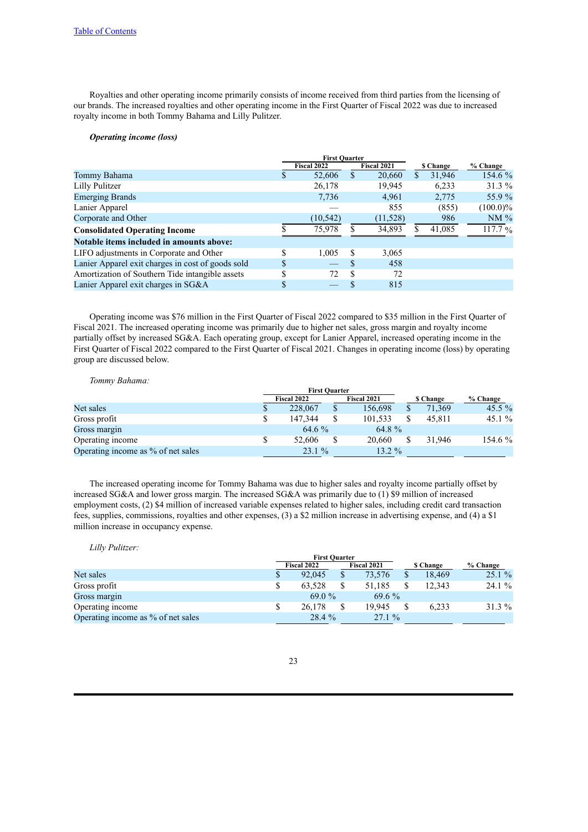Royalties and other operating income primarily consists of income received from third parties from the licensing of our brands. The increased royalties and other operating income in the First Quarter of Fiscal 2022 was due to increased royalty income in both Tommy Bahama and Lilly Pulitzer.

# *Operating income (loss)*

|                                                   | <b>First Quarter</b> |    |                    |    |           |             |
|---------------------------------------------------|----------------------|----|--------------------|----|-----------|-------------|
|                                                   | Fiscal 2022          |    | <b>Fiscal 2021</b> |    | \$ Change | % Change    |
| Tommy Bahama                                      | 52,606               |    | 20,660             | S. | 31,946    | 154.6 %     |
| Lilly Pulitzer                                    | 26,178               |    | 19,945             |    | 6,233     | 31.3%       |
| <b>Emerging Brands</b>                            | 7,736                |    | 4,961              |    | 2,775     | 55.9 %      |
| Lanier Apparel                                    |                      |    | 855                |    | (855)     | $(100.0)\%$ |
| Corporate and Other                               | (10, 542)            |    | (11, 528)          |    | 986       | NM $%$      |
| <b>Consolidated Operating Income</b>              | 75,978               |    | 34,893             |    | 41,085    | $117.7\%$   |
| Notable items included in amounts above:          |                      |    |                    |    |           |             |
| LIFO adjustments in Corporate and Other           | 1,005                | S  | 3,065              |    |           |             |
| Lanier Apparel exit charges in cost of goods sold |                      |    | 458                |    |           |             |
| Amortization of Southern Tide intangible assets   | 72                   | \$ | 72                 |    |           |             |
| Lanier Apparel exit charges in SG&A               |                      |    | 815                |    |           |             |

Operating income was \$76 million in the First Quarter of Fiscal 2022 compared to \$35 million in the First Quarter of Fiscal 2021. The increased operating income was primarily due to higher net sales, gross margin and royalty income partially offset by increased SG&A. Each operating group, except for Lanier Apparel, increased operating income in the First Quarter of Fiscal 2022 compared to the First Quarter of Fiscal 2021. Changes in operating income (loss) by operating group are discussed below.

*Tommy Bahama:*

|                                    | <b>First Ouarter</b> |                    |                 |          |
|------------------------------------|----------------------|--------------------|-----------------|----------|
|                                    | <b>Fiscal 2022</b>   | <b>Fiscal 2021</b> | <b>S</b> Change | % Change |
| Net sales                          | \$<br>228,067        | \$<br>156.698      | 71.369          | 45.5 $%$ |
| Gross profit                       | \$<br>147.344        | \$<br>101.533      | 45.811          | 45.1 $%$ |
| Gross margin                       | 64.6 %               | 64.8%              |                 |          |
| Operating income                   | \$<br>52.606         | 20.660             | 31.946          | 154.6 %  |
| Operating income as % of net sales | 23.1%                | $13.2\%$           |                 |          |

The increased operating income for Tommy Bahama was due to higher sales and royalty income partially offset by increased SG&A and lower gross margin. The increased SG&A was primarily due to (1) \$9 million of increased employment costs, (2) \$4 million of increased variable expenses related to higher sales, including credit card transaction fees, supplies, commissions, royalties and other expenses, (3) a \$2 million increase in advertising expense, and (4) a \$1 million increase in occupancy expense.

#### *Lilly Pulitzer:*

|                                    | <b>First Ouarter</b> |             |           |          |
|------------------------------------|----------------------|-------------|-----------|----------|
|                                    | Fiscal 2022          | Fiscal 2021 | \$ Change | % Change |
| Net sales                          | 92,045               | 73,576      | 18.469    | 25.1%    |
| Gross profit                       | 63.528               | 51.185      | 12.343    | 24.1%    |
| Gross margin                       | 69.0%                | $69.6\%$    |           |          |
| Operating income                   | 26.178               | 19.945      | 6.233     | 31.3%    |
| Operating income as % of net sales | 28.4 %               | 27.1%       |           |          |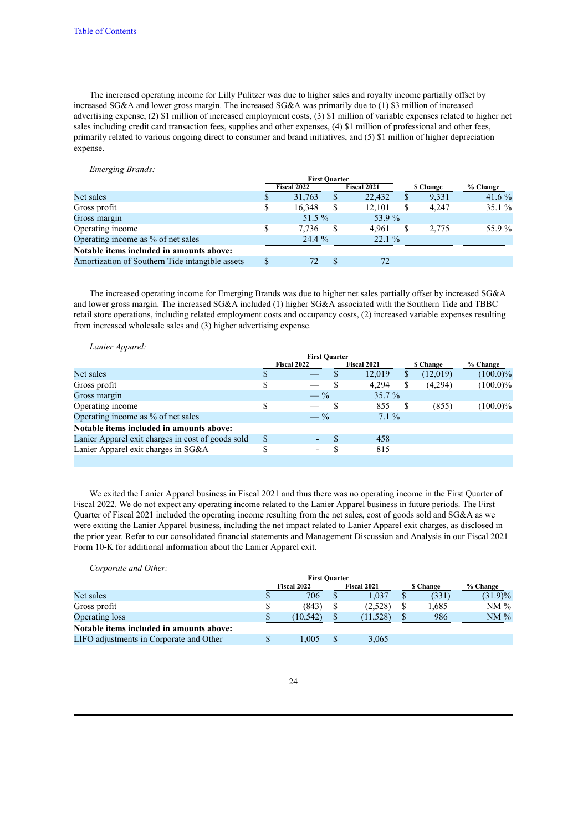The increased operating income for Lilly Pulitzer was due to higher sales and royalty income partially offset by increased SG&A and lower gross margin. The increased SG&A was primarily due to (1) \$3 million of increased advertising expense, (2) \$1 million of increased employment costs, (3) \$1 million of variable expenses related to higher net sales including credit card transaction fees, supplies and other expenses, (4) \$1 million of professional and other fees, primarily related to various ongoing direct to consumer and brand initiatives, and (5) \$1 million of higher depreciation expense.

*Emerging Brands:*

|                                                 |     | <b>First Ouarter</b> |               |                    |   |                 |          |
|-------------------------------------------------|-----|----------------------|---------------|--------------------|---|-----------------|----------|
|                                                 |     | <b>Fiscal 2022</b>   |               | <b>Fiscal 2021</b> |   | <b>S</b> Change | % Change |
| Net sales                                       | \$  | 31,763               | <sup>\$</sup> | 22,432             | S | 9.331           | 41.6 $%$ |
| Gross profit                                    | S   | 16.348               | S             | 12.101             | S | 4.247           | 35.1%    |
| Gross margin                                    |     | 51.5 %               |               | 53.9 %             |   |                 |          |
| Operating income                                | \$  | 7.736                | -S            | 4.961              | S | 2.775           | 55.9 %   |
| Operating income as % of net sales              |     | 24.4 %               |               | 22.1%              |   |                 |          |
| Notable items included in amounts above:        |     |                      |               |                    |   |                 |          |
| Amortization of Southern Tide intangible assets | \$. |                      | \$.           | 72                 |   |                 |          |

The increased operating income for Emerging Brands was due to higher net sales partially offset by increased SG&A and lower gross margin. The increased SG&A included (1) higher SG&A associated with the Southern Tide and TBBC retail store operations, including related employment costs and occupancy costs, (2) increased variable expenses resulting from increased wholesale sales and (3) higher advertising expense.

*Lanier Apparel:*

|                                                   |    | <b>First Ouarter</b>     |     |             |    |           |             |
|---------------------------------------------------|----|--------------------------|-----|-------------|----|-----------|-------------|
|                                                   |    | <b>Fiscal 2022</b>       |     | Fiscal 2021 |    | \$ Change | % Change    |
| Net sales                                         | Ъ  |                          |     | 12,019      | S  | (12,019)  | $(100.0)\%$ |
| Gross profit                                      | \$ |                          | S   | 4.294       | S  | (4,294)   | $(100.0)\%$ |
| Gross margin                                      |    | $-\frac{9}{6}$           |     | 35.7 %      |    |           |             |
| Operating income                                  | \$ |                          | -8  | 855         | -S | (855)     | $(100.0)\%$ |
| Operating income as % of net sales                |    | $-\frac{9}{6}$           |     | $7.1\%$     |    |           |             |
| Notable items included in amounts above:          |    |                          |     |             |    |           |             |
| Lanier Apparel exit charges in cost of goods sold | S  |                          | \$. | 458         |    |           |             |
| Lanier Apparel exit charges in SG&A               | Φ  | $\overline{\phantom{0}}$ | \$. | 815         |    |           |             |
|                                                   |    |                          |     |             |    |           |             |

We exited the Lanier Apparel business in Fiscal 2021 and thus there was no operating income in the First Quarter of Fiscal 2022. We do not expect any operating income related to the Lanier Apparel business in future periods. The First Quarter of Fiscal 2021 included the operating income resulting from the net sales, cost of goods sold and SG&A as we were exiting the Lanier Apparel business, including the net impact related to Lanier Apparel exit charges, as disclosed in the prior year. Refer to our consolidated financial statements and Management Discussion and Analysis in our Fiscal 2021 Form 10-K for additional information about the Lanier Apparel exit.

# *Corporate and Other:*

|                                          | <b>First Quarter</b> |  |             |  |                 |            |
|------------------------------------------|----------------------|--|-------------|--|-----------------|------------|
|                                          | <b>Fiscal 2022</b>   |  | Fiscal 2021 |  | <b>S</b> Change | % Change   |
| Net sales                                | 706                  |  | 1.037       |  | (331)           | $(31.9)\%$ |
| Gross profit                             | (843)                |  | (2.528)     |  | .685            | NM%        |
| Operating loss                           | (10.542)             |  | (11.528)    |  | 986             | NM%        |
| Notable items included in amounts above: |                      |  |             |  |                 |            |
| LIFO adjustments in Corporate and Other  | .005                 |  | 3,065       |  |                 |            |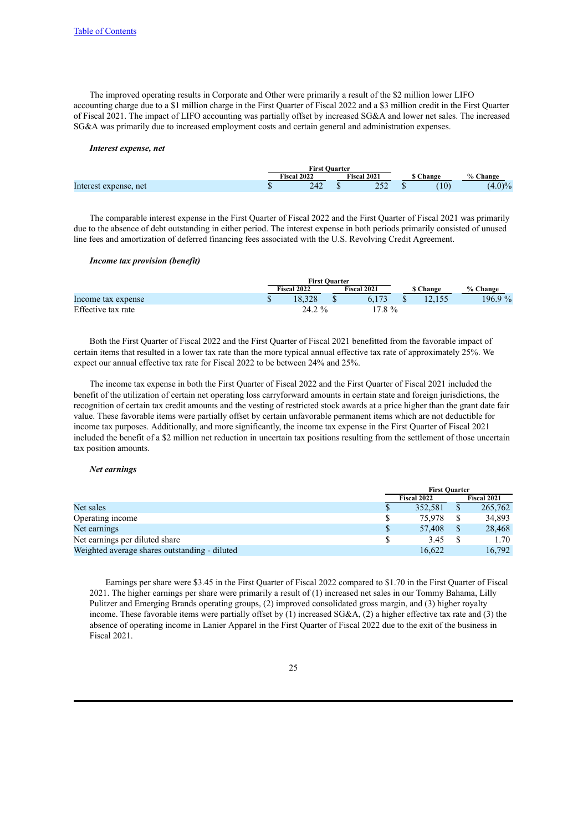The improved operating results in Corporate and Other were primarily a result of the \$2 million lower LIFO accounting charge due to a \$1 million charge in the First Quarter of Fiscal 2022 and a \$3 million credit in the First Quarter of Fiscal 2021. The impact of LIFO accounting was partially offset by increased SG&A and lower net sales. The increased SG&A was primarily due to increased employment costs and certain general and administration expenses.

#### *Interest expense, net*

|                       | $\mathbf{r}$<br><b>First Ouarter</b> |                    |        |                |
|-----------------------|--------------------------------------|--------------------|--------|----------------|
|                       | <b>Fiscal 2022</b>                   | <b>Fiscal 2021</b> | Change | Change<br>$\%$ |
| Interest expense, net | 242                                  |                    |        | (0.006)        |

The comparable interest expense in the First Quarter of Fiscal 2022 and the First Quarter of Fiscal 2021 was primarily due to the absence of debt outstanding in either period. The interest expense in both periods primarily consisted of unused line fees and amortization of deferred financing fees associated with the U.S. Revolving Credit Agreement.

#### *Income tax provision (benefit)*

|                    | <b>First Ouarter</b>              |  |                 |  |          |         |
|--------------------|-----------------------------------|--|-----------------|--|----------|---------|
|                    | <b>Fiscal 2021</b><br>Fiscal 2022 |  | <b>S</b> Change |  | % Change |         |
| Income tax expense | 18.328                            |  | 6.173           |  | 12.155   | 196.9 % |
| Effective tax rate | $24.2 \%$                         |  | $17.8\%$        |  |          |         |

Both the First Quarter of Fiscal 2022 and the First Quarter of Fiscal 2021 benefitted from the favorable impact of certain items that resulted in a lower tax rate than the more typical annual effective tax rate of approximately 25%. We expect our annual effective tax rate for Fiscal 2022 to be between 24% and 25%.

The income tax expense in both the First Quarter of Fiscal 2022 and the First Quarter of Fiscal 2021 included the benefit of the utilization of certain net operating loss carryforward amounts in certain state and foreign jurisdictions, the recognition of certain tax credit amounts and the vesting of restricted stock awards at a price higher than the grant date fair value. These favorable items were partially offset by certain unfavorable permanent items which are not deductible for income tax purposes. Additionally, and more significantly, the income tax expense in the First Quarter of Fiscal 2021 included the benefit of a \$2 million net reduction in uncertain tax positions resulting from the settlement of those uncertain tax position amounts.

#### *Net earnings*

|                                               |   | <b>First Quarter</b> |  |                    |  |  |
|-----------------------------------------------|---|----------------------|--|--------------------|--|--|
|                                               |   | <b>Fiscal 2022</b>   |  | <b>Fiscal 2021</b> |  |  |
| Net sales                                     | D | 352.581              |  | 265,762            |  |  |
| Operating income                              |   | 75.978               |  | 34.893             |  |  |
| Net earnings                                  | S | 57,408               |  | 28,468             |  |  |
| Net earnings per diluted share                |   | 3.45                 |  | 1.70               |  |  |
| Weighted average shares outstanding - diluted |   | 16.622               |  | 16.792             |  |  |

Earnings per share were \$3.45 in the First Quarter of Fiscal 2022 compared to \$1.70 in the First Quarter of Fiscal 2021. The higher earnings per share were primarily a result of (1) increased net sales in our Tommy Bahama, Lilly Pulitzer and Emerging Brands operating groups, (2) improved consolidated gross margin, and (3) higher royalty income. These favorable items were partially offset by (1) increased SG&A, (2) a higher effective tax rate and (3) the absence of operating income in Lanier Apparel in the First Quarter of Fiscal 2022 due to the exit of the business in Fiscal 2021.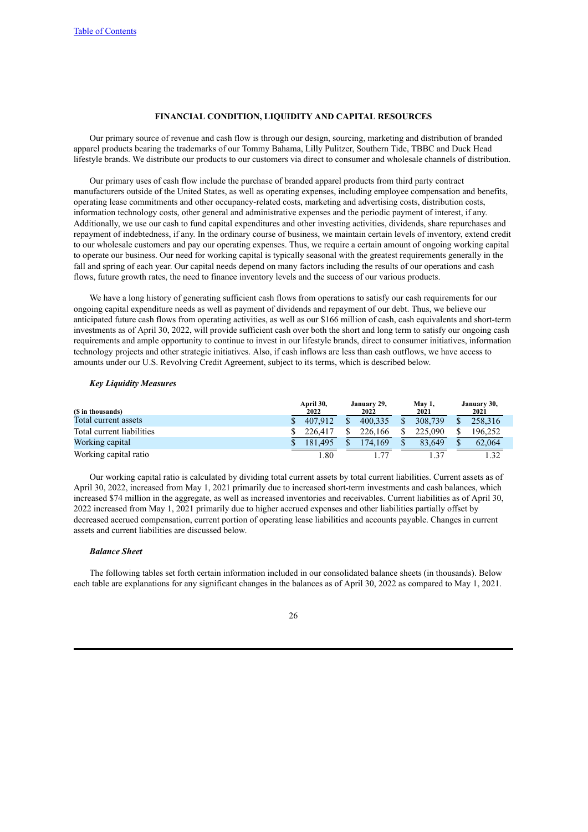## **FINANCIAL CONDITION, LIQUIDITY AND CAPITAL RESOURCES**

Our primary source of revenue and cash flow is through our design, sourcing, marketing and distribution of branded apparel products bearing the trademarks of our Tommy Bahama, Lilly Pulitzer, Southern Tide, TBBC and Duck Head lifestyle brands. We distribute our products to our customers via direct to consumer and wholesale channels of distribution.

Our primary uses of cash flow include the purchase of branded apparel products from third party contract manufacturers outside of the United States, as well as operating expenses, including employee compensation and benefits, operating lease commitments and other occupancy-related costs, marketing and advertising costs, distribution costs, information technology costs, other general and administrative expenses and the periodic payment of interest, if any. Additionally, we use our cash to fund capital expenditures and other investing activities, dividends, share repurchases and repayment of indebtedness, if any. In the ordinary course of business, we maintain certain levels of inventory, extend credit to our wholesale customers and pay our operating expenses. Thus, we require a certain amount of ongoing working capital to operate our business. Our need for working capital is typically seasonal with the greatest requirements generally in the fall and spring of each year. Our capital needs depend on many factors including the results of our operations and cash flows, future growth rates, the need to finance inventory levels and the success of our various products.

We have a long history of generating sufficient cash flows from operations to satisfy our cash requirements for our ongoing capital expenditure needs as well as payment of dividends and repayment of our debt. Thus, we believe our anticipated future cash flows from operating activities, as well as our \$166 million of cash, cash equivalents and short-term investments as of April 30, 2022, will provide sufficient cash over both the short and long term to satisfy our ongoing cash requirements and ample opportunity to continue to invest in our lifestyle brands, direct to consumer initiatives, information technology projects and other strategic initiatives. Also, if cash inflows are less than cash outflows, we have access to amounts under our U.S. Revolving Credit Agreement, subject to its terms, which is described below.

#### *Key Liquidity Measures*

| (\$ in thousands)         | April 30.<br>2022 | January 29,<br>2022 |         | May 1,<br>2021 |         | January 30,<br>2021 |
|---------------------------|-------------------|---------------------|---------|----------------|---------|---------------------|
| Total current assets      | 407.912           |                     | 400.335 |                | 308.739 | 258.316             |
| Total current liabilities | 226.417           |                     | 226.166 |                | 225,090 | 196.252             |
| Working capital           | 181.495           |                     | 74 169  |                | 83.649  | 62,064              |
| Working capital ratio     | .80               |                     |         |                |         | 1.32                |

Our working capital ratio is calculated by dividing total current assets by total current liabilities. Current assets as of April 30, 2022, increased from May 1, 2021 primarily due to increased short-term investments and cash balances, which increased \$74 million in the aggregate, as well as increased inventories and receivables. Current liabilities as of April 30, 2022 increased from May 1, 2021 primarily due to higher accrued expenses and other liabilities partially offset by decreased accrued compensation, current portion of operating lease liabilities and accounts payable. Changes in current assets and current liabilities are discussed below.

#### *Balance Sheet*

The following tables set forth certain information included in our consolidated balance sheets (in thousands). Below each table are explanations for any significant changes in the balances as of April 30, 2022 as compared to May 1, 2021.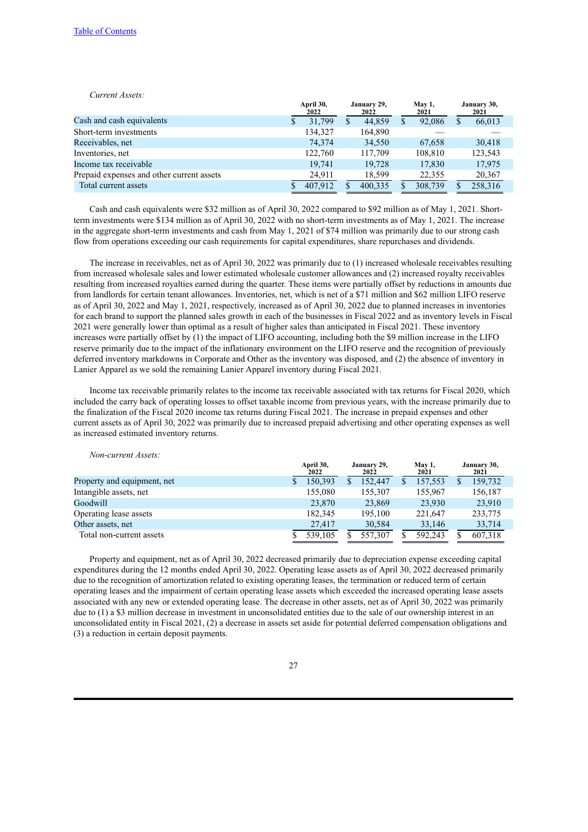*Current Assets:*

*Non-current Assets:*

|                                           |    | April 30,<br>2022 | January 29,<br>2022 |         | May 1,<br>2021 |         |   | January 30,<br>2021 |
|-------------------------------------------|----|-------------------|---------------------|---------|----------------|---------|---|---------------------|
| Cash and cash equivalents                 | S. | 31,799            |                     | 44.859  |                | 92,086  | S | 66,013              |
| Short-term investments                    |    | 134,327           |                     | 164,890 |                |         |   |                     |
| Receivables, net                          |    | 74.374            |                     | 34,550  |                | 67,658  |   | 30,418              |
| Inventories, net                          |    | 122,760           |                     | 117.709 |                | 108.810 |   | 123,543             |
| Income tax receivable                     |    | 19,741            |                     | 19.728  |                | 17,830  |   | 17,975              |
| Prepaid expenses and other current assets |    | 24,911            |                     | 18,599  |                | 22,355  |   | 20,367              |
| Total current assets                      |    | 407.912           |                     | 400,335 |                | 308,739 |   | 258.316             |

Cash and cash equivalents were \$32 million as of April 30, 2022 compared to \$92 million as of May 1, 2021. Shortterm investments were \$134 million as of April 30, 2022 with no short-term investments as of May 1, 2021. The increase in the aggregate short-term investments and cash from May 1, 2021 of \$74 million was primarily due to our strong cash flow from operations exceeding our cash requirements for capital expenditures, share repurchases and dividends.

The increase in receivables, net as of April 30, 2022 was primarily due to (1) increased wholesale receivables resulting from increased wholesale sales and lower estimated wholesale customer allowances and (2) increased royalty receivables resulting from increased royalties earned during the quarter. These items were partially offset by reductions in amounts due from landlords for certain tenant allowances. Inventories, net, which is net of a \$71 million and \$62 million LIFO reserve as of April 30, 2022 and May 1, 2021, respectively, increased as of April 30, 2022 due to planned increases in inventories for each brand to support the planned sales growth in each of the businesses in Fiscal 2022 and as inventory levels in Fiscal 2021 were generally lower than optimal as a result of higher sales than anticipated in Fiscal 2021. These inventory increases were partially offset by (1) the impact of LIFO accounting, including both the \$9 million increase in the LIFO reserve primarily due to the impact of the inflationary environment on the LIFO reserve and the recognition of previously deferred inventory markdowns in Corporate and Other as the inventory was disposed, and (2) the absence of inventory in Lanier Apparel as we sold the remaining Lanier Apparel inventory during Fiscal 2021.

Income tax receivable primarily relates to the income tax receivable associated with tax returns for Fiscal 2020, which included the carry back of operating losses to offset taxable income from previous years, with the increase primarily due to the finalization of the Fiscal 2020 income tax returns during Fiscal 2021. The increase in prepaid expenses and other current assets as of April 30, 2022 was primarily due to increased prepaid advertising and other operating expenses as well as increased estimated inventory returns.

|                             | April 30,<br>2022 | January 29,<br>2022 |         | May 1,<br>2021 |         | January 30,<br>2021 |
|-----------------------------|-------------------|---------------------|---------|----------------|---------|---------------------|
| Property and equipment, net | 150,393           |                     | 152.447 |                | 157,553 | 159,732             |
| Intangible assets, net      | 155.080           |                     | 155,307 |                | 155,967 | 156,187             |
| Goodwill                    | 23,870            |                     | 23,869  |                | 23.930  | 23,910              |
| Operating lease assets      | 182.345           |                     | 195.100 |                | 221.647 | 233,775             |
| Other assets, net           | 27,417            |                     | 30,584  |                | 33.146  | 33,714              |
| Total non-current assets    | 539.105           |                     | 557.307 |                | 592.243 | 607,318             |

Property and equipment, net as of April 30, 2022 decreased primarily due to depreciation expense exceeding capital expenditures during the 12 months ended April 30, 2022. Operating lease assets as of April 30, 2022 decreased primarily due to the recognition of amortization related to existing operating leases, the termination or reduced term of certain operating leases and the impairment of certain operating lease assets which exceeded the increased operating lease assets associated with any new or extended operating lease. The decrease in other assets, net as of April 30, 2022 was primarily due to (1) a \$3 million decrease in investment in unconsolidated entities due to the sale of our ownership interest in an unconsolidated entity in Fiscal 2021, (2) a decrease in assets set aside for potential deferred compensation obligations and (3) a reduction in certain deposit payments.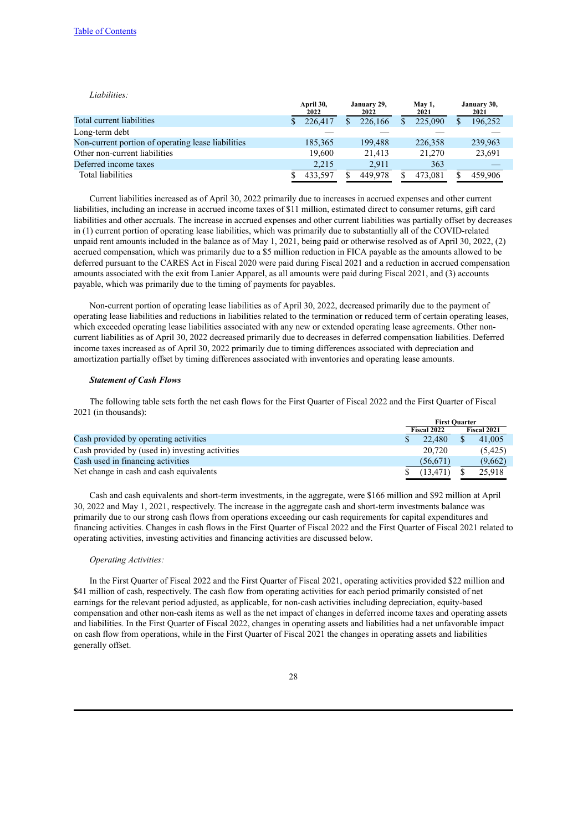*Liabilities:*

| Liuvillics.                                        |                   |                     |         |                |         |                     |
|----------------------------------------------------|-------------------|---------------------|---------|----------------|---------|---------------------|
|                                                    | April 30,<br>2022 | January 29,<br>2022 |         | May 1,<br>2021 |         | January 30,<br>2021 |
| Total current liabilities                          | 226,417           |                     | 226,166 |                | 225,090 | 196,252             |
| Long-term debt                                     |                   |                     |         |                |         |                     |
| Non-current portion of operating lease liabilities | 185,365           |                     | 199.488 |                | 226,358 | 239,963             |
| Other non-current liabilities                      | 19.600            |                     | 21.413  |                | 21.270  | 23,691              |
| Deferred income taxes                              | 2.215             |                     | 2.911   |                | 363     |                     |
| Total liabilities                                  | 433.597           |                     | 449.978 |                | 473.081 | 459,906             |
|                                                    |                   |                     |         |                |         |                     |

Current liabilities increased as of April 30, 2022 primarily due to increases in accrued expenses and other current liabilities, including an increase in accrued income taxes of \$11 million, estimated direct to consumer returns, gift card liabilities and other accruals. The increase in accrued expenses and other current liabilities was partially offset by decreases in (1) current portion of operating lease liabilities, which was primarily due to substantially all of the COVID-related unpaid rent amounts included in the balance as of May 1, 2021, being paid or otherwise resolved as of April 30, 2022, (2) accrued compensation, which was primarily due to a \$5 million reduction in FICA payable as the amounts allowed to be deferred pursuant to the CARES Act in Fiscal 2020 were paid during Fiscal 2021 and a reduction in accrued compensation amounts associated with the exit from Lanier Apparel, as all amounts were paid during Fiscal 2021, and (3) accounts payable, which was primarily due to the timing of payments for payables.

Non-current portion of operating lease liabilities as of April 30, 2022, decreased primarily due to the payment of operating lease liabilities and reductions in liabilities related to the termination or reduced term of certain operating leases, which exceeded operating lease liabilities associated with any new or extended operating lease agreements. Other noncurrent liabilities as of April 30, 2022 decreased primarily due to decreases in deferred compensation liabilities. Deferred income taxes increased as of April 30, 2022 primarily due to timing differences associated with depreciation and amortization partially offset by timing differences associated with inventories and operating lease amounts.

#### *Statement of Cash Flows*

The following table sets forth the net cash flows for the First Quarter of Fiscal 2022 and the First Quarter of Fiscal 2021 (in thousands):

|                                                 | <b>First Ouarter</b> |           |  |                    |  |  |
|-------------------------------------------------|----------------------|-----------|--|--------------------|--|--|
|                                                 | <b>Fiscal 2022</b>   |           |  | <b>Fiscal 2021</b> |  |  |
| Cash provided by operating activities           |                      | 22.480    |  | 41,005             |  |  |
| Cash provided by (used in) investing activities |                      | 20.720    |  | (5.425)            |  |  |
| Cash used in financing activities               |                      | (56, 671) |  | (9,662)            |  |  |
| Net change in cash and cash equivalents         |                      | 13.471    |  | 25.918             |  |  |

Cash and cash equivalents and short-term investments, in the aggregate, were \$166 million and \$92 million at April 30, 2022 and May 1, 2021, respectively. The increase in the aggregate cash and short-term investments balance was primarily due to our strong cash flows from operations exceeding our cash requirements for capital expenditures and financing activities. Changes in cash flows in the First Quarter of Fiscal 2022 and the First Quarter of Fiscal 2021 related to operating activities, investing activities and financing activities are discussed below.

#### *Operating Activities:*

In the First Quarter of Fiscal 2022 and the First Quarter of Fiscal 2021, operating activities provided \$22 million and \$41 million of cash, respectively. The cash flow from operating activities for each period primarily consisted of net earnings for the relevant period adjusted, as applicable, for non-cash activities including depreciation, equity-based compensation and other non-cash items as well as the net impact of changes in deferred income taxes and operating assets and liabilities. In the First Quarter of Fiscal 2022, changes in operating assets and liabilities had a net unfavorable impact on cash flow from operations, while in the First Quarter of Fiscal 2021 the changes in operating assets and liabilities generally offset.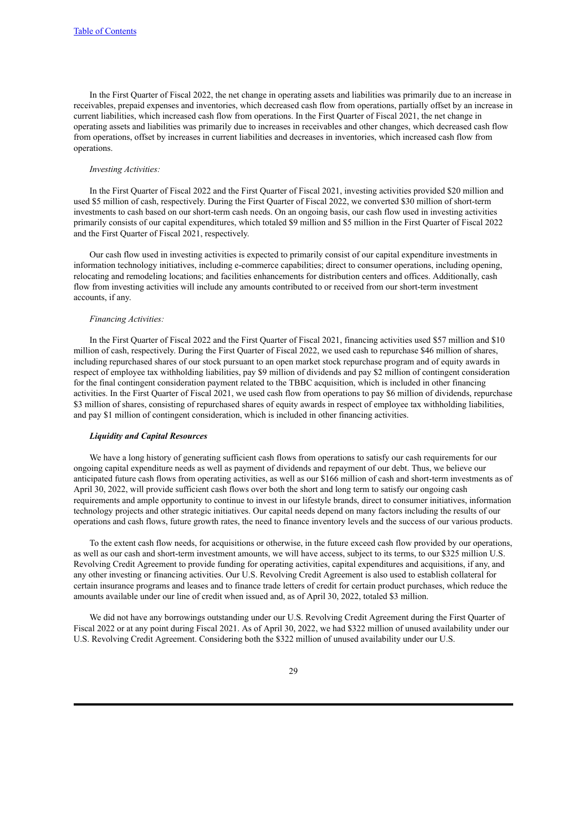In the First Quarter of Fiscal 2022, the net change in operating assets and liabilities was primarily due to an increase in receivables, prepaid expenses and inventories, which decreased cash flow from operations, partially offset by an increase in current liabilities, which increased cash flow from operations. In the First Quarter of Fiscal 2021, the net change in operating assets and liabilities was primarily due to increases in receivables and other changes, which decreased cash flow from operations, offset by increases in current liabilities and decreases in inventories, which increased cash flow from operations.

## *Investing Activities:*

In the First Quarter of Fiscal 2022 and the First Quarter of Fiscal 2021, investing activities provided \$20 million and used \$5 million of cash, respectively. During the First Quarter of Fiscal 2022, we converted \$30 million of short-term investments to cash based on our short-term cash needs. On an ongoing basis, our cash flow used in investing activities primarily consists of our capital expenditures, which totaled \$9 million and \$5 million in the First Quarter of Fiscal 2022 and the First Quarter of Fiscal 2021, respectively.

Our cash flow used in investing activities is expected to primarily consist of our capital expenditure investments in information technology initiatives, including e-commerce capabilities; direct to consumer operations, including opening, relocating and remodeling locations; and facilities enhancements for distribution centers and offices. Additionally, cash flow from investing activities will include any amounts contributed to or received from our short-term investment accounts, if any.

## *Financing Activities:*

In the First Quarter of Fiscal 2022 and the First Quarter of Fiscal 2021, financing activities used \$57 million and \$10 million of cash, respectively. During the First Quarter of Fiscal 2022, we used cash to repurchase \$46 million of shares, including repurchased shares of our stock pursuant to an open market stock repurchase program and of equity awards in respect of employee tax withholding liabilities, pay \$9 million of dividends and pay \$2 million of contingent consideration for the final contingent consideration payment related to the TBBC acquisition, which is included in other financing activities. In the First Quarter of Fiscal 2021, we used cash flow from operations to pay \$6 million of dividends, repurchase \$3 million of shares, consisting of repurchased shares of equity awards in respect of employee tax withholding liabilities, and pay \$1 million of contingent consideration, which is included in other financing activities.

## *Liquidity and Capital Resources*

We have a long history of generating sufficient cash flows from operations to satisfy our cash requirements for our ongoing capital expenditure needs as well as payment of dividends and repayment of our debt. Thus, we believe our anticipated future cash flows from operating activities, as well as our \$166 million of cash and short-term investments as of April 30, 2022, will provide sufficient cash flows over both the short and long term to satisfy our ongoing cash requirements and ample opportunity to continue to invest in our lifestyle brands, direct to consumer initiatives, information technology projects and other strategic initiatives. Our capital needs depend on many factors including the results of our operations and cash flows, future growth rates, the need to finance inventory levels and the success of our various products.

To the extent cash flow needs, for acquisitions or otherwise, in the future exceed cash flow provided by our operations, as well as our cash and short-term investment amounts, we will have access, subject to its terms, to our \$325 million U.S. Revolving Credit Agreement to provide funding for operating activities, capital expenditures and acquisitions, if any, and any other investing or financing activities. Our U.S. Revolving Credit Agreement is also used to establish collateral for certain insurance programs and leases and to finance trade letters of credit for certain product purchases, which reduce the amounts available under our line of credit when issued and, as of April 30, 2022, totaled \$3 million.

We did not have any borrowings outstanding under our U.S. Revolving Credit Agreement during the First Quarter of Fiscal 2022 or at any point during Fiscal 2021. As of April 30, 2022, we had \$322 million of unused availability under our U.S. Revolving Credit Agreement. Considering both the \$322 million of unused availability under our U.S.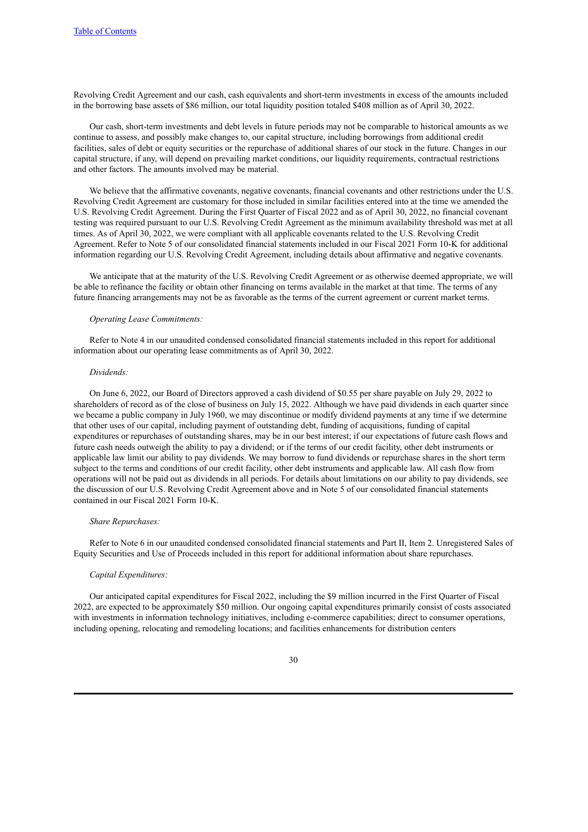Revolving Credit Agreement and our cash, cash equivalents and short-term investments in excess of the amounts included in the borrowing base assets of \$86 million, our total liquidity position totaled \$408 million as of April 30, 2022.

Our cash, short-term investments and debt levels in future periods may not be comparable to historical amounts as we continue to assess, and possibly make changes to, our capital structure, including borrowings from additional credit facilities, sales of debt or equity securities or the repurchase of additional shares of our stock in the future. Changes in our capital structure, if any, will depend on prevailing market conditions, our liquidity requirements, contractual restrictions and other factors. The amounts involved may be material.

We believe that the affirmative covenants, negative covenants, financial covenants and other restrictions under the U.S. Revolving Credit Agreement are customary for those included in similar facilities entered into at the time we amended the U.S. Revolving Credit Agreement. During the First Quarter of Fiscal 2022 and as of April 30, 2022, no financial covenant testing was required pursuant to our U.S. Revolving Credit Agreement as the minimum availability threshold was met at all times. As of April 30, 2022, we were compliant with all applicable covenants related to the U.S. Revolving Credit Agreement. Refer to Note 5 of our consolidated financial statements included in our Fiscal 2021 Form 10-K for additional information regarding our U.S. Revolving Credit Agreement, including details about affirmative and negative covenants.

We anticipate that at the maturity of the U.S. Revolving Credit Agreement or as otherwise deemed appropriate, we will be able to refinance the facility or obtain other financing on terms available in the market at that time. The terms of any future financing arrangements may not be as favorable as the terms of the current agreement or current market terms.

## *Operating Lease Commitments:*

Refer to Note 4 in our unaudited condensed consolidated financial statements included in this report for additional information about our operating lease commitments as of April 30, 2022.

#### *Dividends:*

On June 6, 2022, our Board of Directors approved a cash dividend of \$0.55 per share payable on July 29, 2022 to shareholders of record as of the close of business on July 15, 2022. Although we have paid dividends in each quarter since we became a public company in July 1960, we may discontinue or modify dividend payments at any time if we determine that other uses of our capital, including payment of outstanding debt, funding of acquisitions, funding of capital expenditures or repurchases of outstanding shares, may be in our best interest; if our expectations of future cash flows and future cash needs outweigh the ability to pay a dividend; or if the terms of our credit facility, other debt instruments or applicable law limit our ability to pay dividends. We may borrow to fund dividends or repurchase shares in the short term subject to the terms and conditions of our credit facility, other debt instruments and applicable law. All cash flow from operations will not be paid out as dividends in all periods. For details about limitations on our ability to pay dividends, see the discussion of our U.S. Revolving Credit Agreement above and in Note 5 of our consolidated financial statements contained in our Fiscal 2021 Form 10-K.

#### *Share Repurchases:*

Refer to Note 6 in our unaudited condensed consolidated financial statements and Part II, Item 2. Unregistered Sales of Equity Securities and Use of Proceeds included in this report for additional information about share repurchases.

#### *Capital Expenditures:*

Our anticipated capital expenditures for Fiscal 2022, including the \$9 million incurred in the First Quarter of Fiscal 2022, are expected to be approximately \$50 million. Our ongoing capital expenditures primarily consist of costs associated with investments in information technology initiatives, including e-commerce capabilities; direct to consumer operations, including opening, relocating and remodeling locations; and facilities enhancements for distribution centers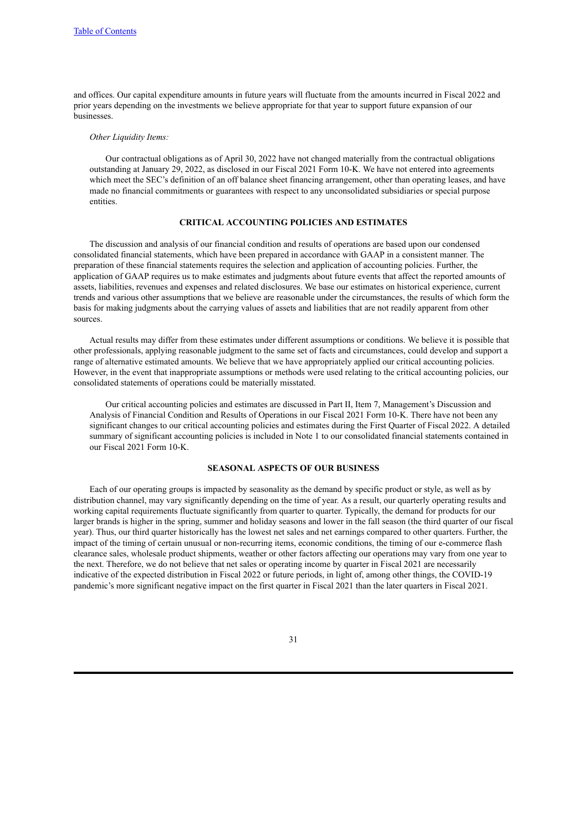and offices. Our capital expenditure amounts in future years will fluctuate from the amounts incurred in Fiscal 2022 and prior years depending on the investments we believe appropriate for that year to support future expansion of our businesses.

#### *Other Liquidity Items:*

Our contractual obligations as of April 30, 2022 have not changed materially from the contractual obligations outstanding at January 29, 2022, as disclosed in our Fiscal 2021 Form 10-K. We have not entered into agreements which meet the SEC's definition of an off balance sheet financing arrangement, other than operating leases, and have made no financial commitments or guarantees with respect to any unconsolidated subsidiaries or special purpose entities.

# **CRITICAL ACCOUNTING POLICIES AND ESTIMATES**

The discussion and analysis of our financial condition and results of operations are based upon our condensed consolidated financial statements, which have been prepared in accordance with GAAP in a consistent manner. The preparation of these financial statements requires the selection and application of accounting policies. Further, the application of GAAP requires us to make estimates and judgments about future events that affect the reported amounts of assets, liabilities, revenues and expenses and related disclosures. We base our estimates on historical experience, current trends and various other assumptions that we believe are reasonable under the circumstances, the results of which form the basis for making judgments about the carrying values of assets and liabilities that are not readily apparent from other sources.

Actual results may differ from these estimates under different assumptions or conditions. We believe it is possible that other professionals, applying reasonable judgment to the same set of facts and circumstances, could develop and support a range of alternative estimated amounts. We believe that we have appropriately applied our critical accounting policies. However, in the event that inappropriate assumptions or methods were used relating to the critical accounting policies, our consolidated statements of operations could be materially misstated.

Our critical accounting policies and estimates are discussed in Part II, Item 7, Management's Discussion and Analysis of Financial Condition and Results of Operations in our Fiscal 2021 Form 10-K. There have not been any significant changes to our critical accounting policies and estimates during the First Quarter of Fiscal 2022. A detailed summary of significant accounting policies is included in Note 1 to our consolidated financial statements contained in our Fiscal 2021 Form 10-K.

#### **SEASONAL ASPECTS OF OUR BUSINESS**

Each of our operating groups is impacted by seasonality as the demand by specific product or style, as well as by distribution channel, may vary significantly depending on the time of year. As a result, our quarterly operating results and working capital requirements fluctuate significantly from quarter to quarter. Typically, the demand for products for our larger brands is higher in the spring, summer and holiday seasons and lower in the fall season (the third quarter of our fiscal year). Thus, our third quarter historically has the lowest net sales and net earnings compared to other quarters. Further, the impact of the timing of certain unusual or non-recurring items, economic conditions, the timing of our e-commerce flash clearance sales, wholesale product shipments, weather or other factors affecting our operations may vary from one year to the next. Therefore, we do not believe that net sales or operating income by quarter in Fiscal 2021 are necessarily indicative of the expected distribution in Fiscal 2022 or future periods, in light of, among other things, the COVID-19 pandemic's more significant negative impact on the first quarter in Fiscal 2021 than the later quarters in Fiscal 2021.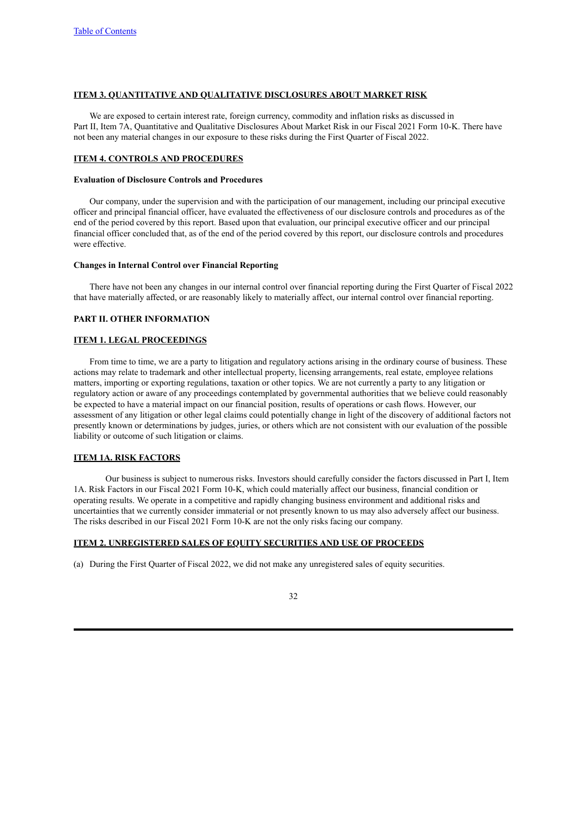# <span id="page-31-0"></span>**ITEM 3. QUANTITATIVE AND QUALITATIVE DISCLOSURES ABOUT MARKET RISK**

We are exposed to certain interest rate, foreign currency, commodity and inflation risks as discussed in Part II, Item 7A, Quantitative and Qualitative Disclosures About Market Risk in our Fiscal 2021 Form 10-K. There have not been any material changes in our exposure to these risks during the First Quarter of Fiscal 2022.

# <span id="page-31-1"></span>**ITEM 4. CONTROLS AND PROCEDURES**

# **Evaluation of Disclosure Controls and Procedures**

Our company, under the supervision and with the participation of our management, including our principal executive officer and principal financial officer, have evaluated the effectiveness of our disclosure controls and procedures as of the end of the period covered by this report. Based upon that evaluation, our principal executive officer and our principal financial officer concluded that, as of the end of the period covered by this report, our disclosure controls and procedures were effective.

#### **Changes in Internal Control over Financial Reporting**

There have not been any changes in our internal control over financial reporting during the First Quarter of Fiscal 2022 that have materially affected, or are reasonably likely to materially affect, our internal control over financial reporting.

# <span id="page-31-2"></span>**PART II. OTHER INFORMATION**

#### <span id="page-31-3"></span>**ITEM 1. LEGAL PROCEEDINGS**

From time to time, we are a party to litigation and regulatory actions arising in the ordinary course of business. These actions may relate to trademark and other intellectual property, licensing arrangements, real estate, employee relations matters, importing or exporting regulations, taxation or other topics. We are not currently a party to any litigation or regulatory action or aware of any proceedings contemplated by governmental authorities that we believe could reasonably be expected to have a material impact on our financial position, results of operations or cash flows. However, our assessment of any litigation or other legal claims could potentially change in light of the discovery of additional factors not presently known or determinations by judges, juries, or others which are not consistent with our evaluation of the possible liability or outcome of such litigation or claims.

# <span id="page-31-4"></span>**ITEM 1A. RISK FACTORS**

Our business is subject to numerous risks. Investors should carefully consider the factors discussed in Part I, Item 1A. Risk Factors in our Fiscal 2021 Form 10-K, which could materially affect our business, financial condition or operating results. We operate in a competitive and rapidly changing business environment and additional risks and uncertainties that we currently consider immaterial or not presently known to us may also adversely affect our business. The risks described in our Fiscal 2021 Form 10-K are not the only risks facing our company.

#### <span id="page-31-5"></span>**ITEM 2. UNREGISTERED SALES OF EQUITY SECURITIES AND USE OF PROCEEDS**

(a) During the First Quarter of Fiscal 2022, we did not make any unregistered sales of equity securities.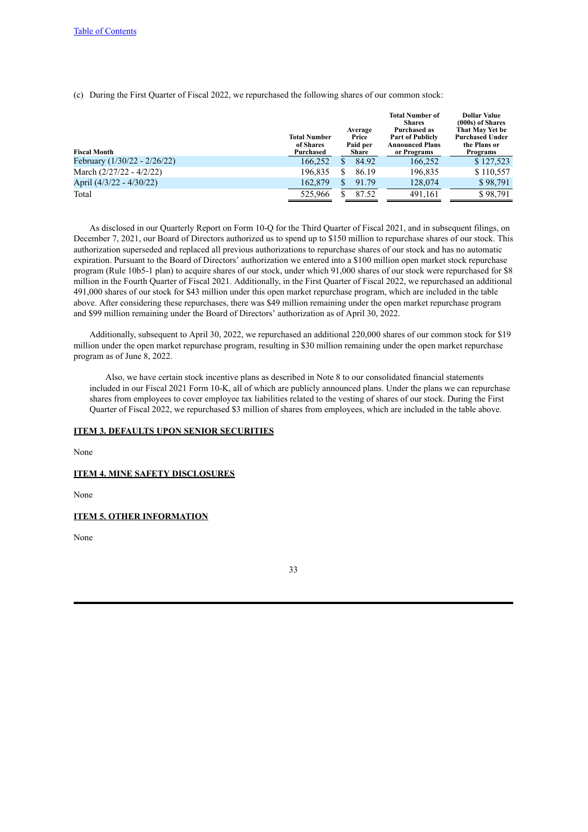(c) During the First Quarter of Fiscal 2022, we repurchased the following shares of our common stock:

| <b>Fiscal Month</b>            | <b>Total Number</b><br>of Shares<br>Purchased | Average<br>Price<br>Paid per<br>Share | <b>Total Number of</b><br><b>Shares</b><br>Purchased as<br><b>Part of Publicly</b><br><b>Announced Plans</b><br>or Programs | <b>Dollar Value</b><br>(000s) of Shares<br>That May Yet be<br><b>Purchased Under</b><br>the Plans or<br>Programs |
|--------------------------------|-----------------------------------------------|---------------------------------------|-----------------------------------------------------------------------------------------------------------------------------|------------------------------------------------------------------------------------------------------------------|
| February $(1/30/22 - 2/26/22)$ | 166.252                                       | 84.92                                 | 166.252                                                                                                                     | \$127,523                                                                                                        |
| March $(2/27/22 - 4/2/22)$     | 196,835                                       | 86.19                                 | 196,835                                                                                                                     | \$110,557                                                                                                        |
| April (4/3/22 - 4/30/22)       | 162,879                                       | 91.79                                 | 128,074                                                                                                                     | \$98,791                                                                                                         |
| Total                          | 525,966                                       | 87.52                                 | 491.161                                                                                                                     | \$98,791                                                                                                         |

As disclosed in our Quarterly Report on Form 10-Q for the Third Quarter of Fiscal 2021, and in subsequent filings, on December 7, 2021, our Board of Directors authorized us to spend up to \$150 million to repurchase shares of our stock. This authorization superseded and replaced all previous authorizations to repurchase shares of our stock and has no automatic expiration. Pursuant to the Board of Directors' authorization we entered into a \$100 million open market stock repurchase program (Rule 10b5-1 plan) to acquire shares of our stock, under which 91,000 shares of our stock were repurchased for \$8 million in the Fourth Quarter of Fiscal 2021. Additionally, in the First Quarter of Fiscal 2022, we repurchased an additional 491,000 shares of our stock for \$43 million under this open market repurchase program, which are included in the table above. After considering these repurchases, there was \$49 million remaining under the open market repurchase program and \$99 million remaining under the Board of Directors' authorization as of April 30, 2022.

Additionally, subsequent to April 30, 2022, we repurchased an additional 220,000 shares of our common stock for \$19 million under the open market repurchase program, resulting in \$30 million remaining under the open market repurchase program as of June 8, 2022.

Also, we have certain stock incentive plans as described in Note 8 to our consolidated financial statements included in our Fiscal 2021 Form 10-K, all of which are publicly announced plans. Under the plans we can repurchase shares from employees to cover employee tax liabilities related to the vesting of shares of our stock. During the First Quarter of Fiscal 2022, we repurchased \$3 million of shares from employees, which are included in the table above.

# <span id="page-32-0"></span>**ITEM 3. DEFAULTS UPON SENIOR SECURITIES**

None

# <span id="page-32-1"></span>**ITEM 4. MINE SAFETY DISCLOSURES**

None

# <span id="page-32-2"></span>**ITEM 5. OTHER INFORMATION**

None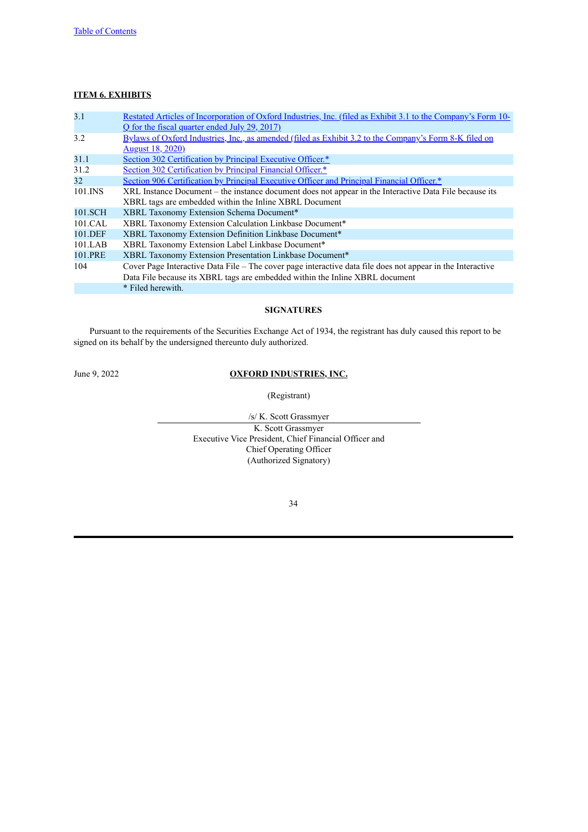# <span id="page-33-0"></span>**ITEM 6. EXHIBITS**

| 3.1         | Restated Articles of Incorporation of Oxford Industries, Inc. (filed as Exhibit 3.1 to the Company's Form 10- |
|-------------|---------------------------------------------------------------------------------------------------------------|
|             | Q for the fiscal quarter ended July 29, 2017)                                                                 |
| 3.2         | Bylaws of Oxford Industries, Inc., as amended (filed as Exhibit 3.2 to the Company's Form 8-K filed on        |
|             | <b>August 18, 2020)</b>                                                                                       |
| 31.1        | Section 302 Certification by Principal Executive Officer.*                                                    |
| 31.2        | Section 302 Certification by Principal Financial Officer.*                                                    |
| 32          | Section 906 Certification by Principal Executive Officer and Principal Financial Officer.*                    |
| $101$ . INS | XRL Instance Document – the instance document does not appear in the Interactive Data File because its        |
|             | XBRL tags are embedded within the Inline XBRL Document                                                        |
| 101.SCH     | XBRL Taxonomy Extension Schema Document*                                                                      |
| 101.CAL     | XBRL Taxonomy Extension Calculation Linkbase Document*                                                        |
| 101.DEF     | XBRL Taxonomy Extension Definition Linkbase Document*                                                         |
| 101.LAB     | XBRL Taxonomy Extension Label Linkbase Document*                                                              |
| 101.PRE     | XBRL Taxonomy Extension Presentation Linkbase Document*                                                       |
| 104         | Cover Page Interactive Data File – The cover page interactive data file does not appear in the Interactive    |
|             | Data File because its XBRL tags are embedded within the Inline XBRL document                                  |
|             | * Filed herewith.                                                                                             |

# **SIGNATURES**

<span id="page-33-1"></span>Pursuant to the requirements of the Securities Exchange Act of 1934, the registrant has duly caused this report to be signed on its behalf by the undersigned thereunto duly authorized.

# June 9, 2022 **OXFORD INDUSTRIES, INC.**

(Registrant)

/s/ K. Scott Grassmyer K. Scott Grassmyer Executive Vice President, Chief Financial Officer and Chief Operating Officer (Authorized Signatory)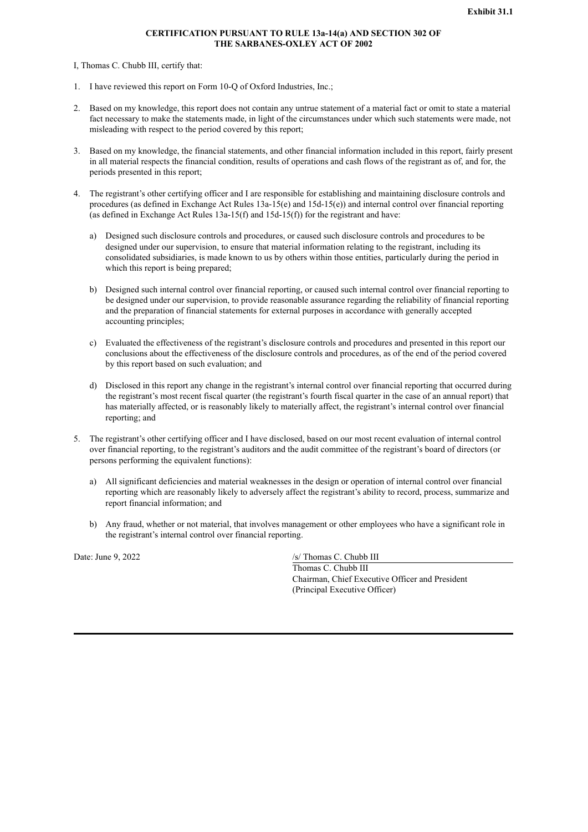# **CERTIFICATION PURSUANT TO RULE 13a-14(a) AND SECTION 302 OF THE SARBANES-OXLEY ACT OF 2002**

- <span id="page-34-0"></span>I, Thomas C. Chubb III, certify that:
- 1. I have reviewed this report on Form 10-Q of Oxford Industries, Inc.;
- 2. Based on my knowledge, this report does not contain any untrue statement of a material fact or omit to state a material fact necessary to make the statements made, in light of the circumstances under which such statements were made, not misleading with respect to the period covered by this report;
- 3. Based on my knowledge, the financial statements, and other financial information included in this report, fairly present in all material respects the financial condition, results of operations and cash flows of the registrant as of, and for, the periods presented in this report;
- 4. The registrant's other certifying officer and I are responsible for establishing and maintaining disclosure controls and procedures (as defined in Exchange Act Rules 13a-15(e) and 15d-15(e)) and internal control over financial reporting (as defined in Exchange Act Rules  $13a-15(f)$  and  $15d-15(f)$ ) for the registrant and have:
	- a) Designed such disclosure controls and procedures, or caused such disclosure controls and procedures to be designed under our supervision, to ensure that material information relating to the registrant, including its consolidated subsidiaries, is made known to us by others within those entities, particularly during the period in which this report is being prepared;
	- b) Designed such internal control over financial reporting, or caused such internal control over financial reporting to be designed under our supervision, to provide reasonable assurance regarding the reliability of financial reporting and the preparation of financial statements for external purposes in accordance with generally accepted accounting principles;
	- c) Evaluated the effectiveness of the registrant's disclosure controls and procedures and presented in this report our conclusions about the effectiveness of the disclosure controls and procedures, as of the end of the period covered by this report based on such evaluation; and
	- d) Disclosed in this report any change in the registrant's internal control over financial reporting that occurred during the registrant's most recent fiscal quarter (the registrant's fourth fiscal quarter in the case of an annual report) that has materially affected, or is reasonably likely to materially affect, the registrant's internal control over financial reporting; and
- 5. The registrant's other certifying officer and I have disclosed, based on our most recent evaluation of internal control over financial reporting, to the registrant's auditors and the audit committee of the registrant's board of directors (or persons performing the equivalent functions):
	- a) All significant deficiencies and material weaknesses in the design or operation of internal control over financial reporting which are reasonably likely to adversely affect the registrant's ability to record, process, summarize and report financial information; and
	- b) Any fraud, whether or not material, that involves management or other employees who have a significant role in the registrant's internal control over financial reporting.

Date: June 9, 2022 /s/ Thomas C. Chubb III Thomas C. Chubb III Chairman, Chief Executive Officer and President (Principal Executive Officer)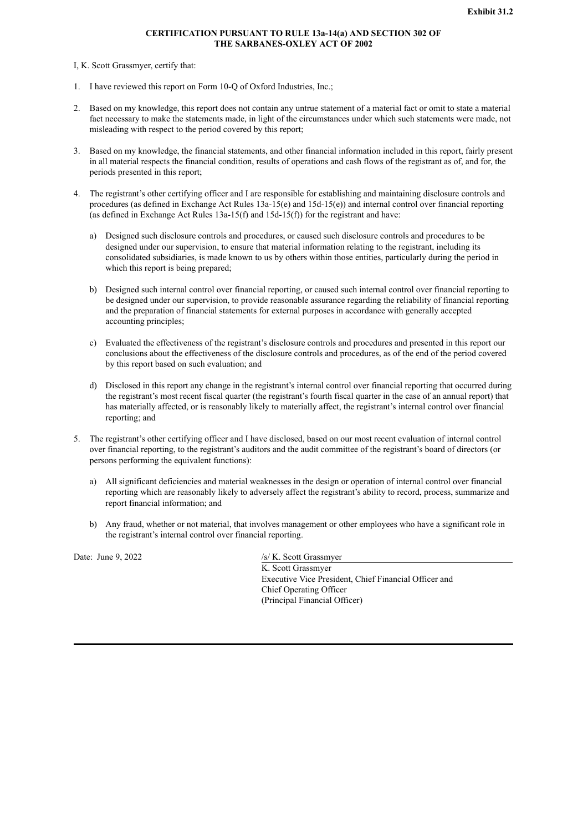# **CERTIFICATION PURSUANT TO RULE 13a-14(a) AND SECTION 302 OF THE SARBANES-OXLEY ACT OF 2002**

- <span id="page-35-0"></span>I, K. Scott Grassmyer, certify that:
- 1. I have reviewed this report on Form 10-Q of Oxford Industries, Inc.;
- 2. Based on my knowledge, this report does not contain any untrue statement of a material fact or omit to state a material fact necessary to make the statements made, in light of the circumstances under which such statements were made, not misleading with respect to the period covered by this report;
- 3. Based on my knowledge, the financial statements, and other financial information included in this report, fairly present in all material respects the financial condition, results of operations and cash flows of the registrant as of, and for, the periods presented in this report;
- 4. The registrant's other certifying officer and I are responsible for establishing and maintaining disclosure controls and procedures (as defined in Exchange Act Rules 13a-15(e) and 15d-15(e)) and internal control over financial reporting (as defined in Exchange Act Rules  $13a-15(f)$  and  $15d-15(f)$ ) for the registrant and have:
	- a) Designed such disclosure controls and procedures, or caused such disclosure controls and procedures to be designed under our supervision, to ensure that material information relating to the registrant, including its consolidated subsidiaries, is made known to us by others within those entities, particularly during the period in which this report is being prepared;
	- b) Designed such internal control over financial reporting, or caused such internal control over financial reporting to be designed under our supervision, to provide reasonable assurance regarding the reliability of financial reporting and the preparation of financial statements for external purposes in accordance with generally accepted accounting principles;
	- c) Evaluated the effectiveness of the registrant's disclosure controls and procedures and presented in this report our conclusions about the effectiveness of the disclosure controls and procedures, as of the end of the period covered by this report based on such evaluation; and
	- d) Disclosed in this report any change in the registrant's internal control over financial reporting that occurred during the registrant's most recent fiscal quarter (the registrant's fourth fiscal quarter in the case of an annual report) that has materially affected, or is reasonably likely to materially affect, the registrant's internal control over financial reporting; and
- 5. The registrant's other certifying officer and I have disclosed, based on our most recent evaluation of internal control over financial reporting, to the registrant's auditors and the audit committee of the registrant's board of directors (or persons performing the equivalent functions):
	- a) All significant deficiencies and material weaknesses in the design or operation of internal control over financial reporting which are reasonably likely to adversely affect the registrant's ability to record, process, summarize and report financial information; and
	- b) Any fraud, whether or not material, that involves management or other employees who have a significant role in the registrant's internal control over financial reporting.

Date: June 9, 2022 /s/ K. Scott Grassmyer K. Scott Grassmyer Executive Vice President, Chief Financial Officer and Chief Operating Officer (Principal Financial Officer)